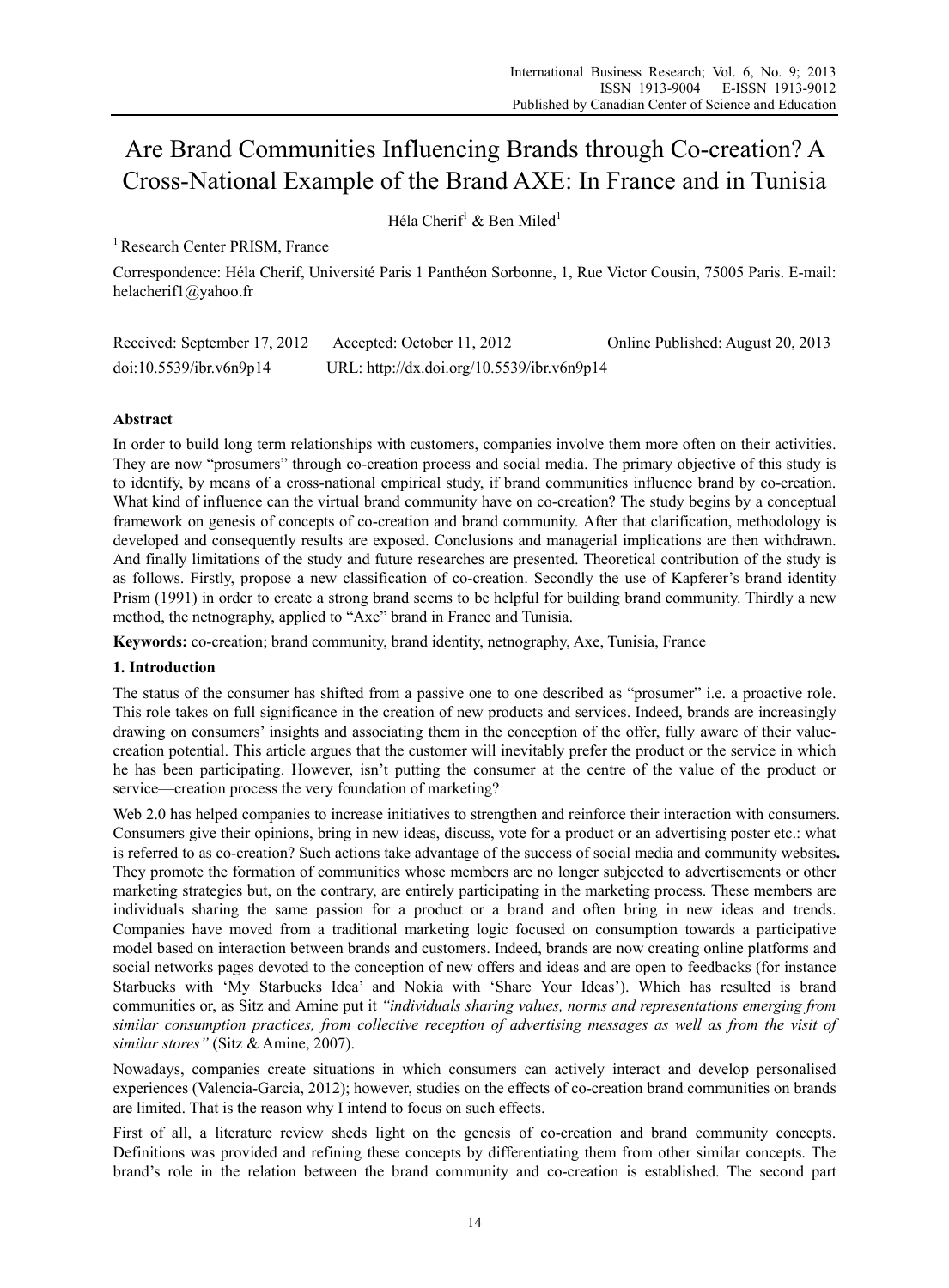# Are Brand Communities Influencing Brands through Co-creation? A Cross-National Example of the Brand AXE: In France and in Tunisia

Héla Cherif<sup>1</sup> & Ben Miled<sup>1</sup>

<sup>1</sup> Research Center PRISM, France

Correspondence: Héla Cherif, Université Paris 1 Panthéon Sorbonne, 1, Rue Victor Cousin, 75005 Paris. E-mail: helacherif1@yahoo.fr

| Received: September 17, 2012 | Accepted: October 11, 2012                 | Online Published: August 20, 2013 |
|------------------------------|--------------------------------------------|-----------------------------------|
| doi:10.5539/ibr.v6n9p14      | URL: http://dx.doi.org/10.5539/ibr.v6n9p14 |                                   |

# **Abstract**

In order to build long term relationships with customers, companies involve them more often on their activities. They are now "prosumers" through co-creation process and social media. The primary objective of this study is to identify, by means of a cross-national empirical study, if brand communities influence brand by co-creation. What kind of influence can the virtual brand community have on co-creation? The study begins by a conceptual framework on genesis of concepts of co-creation and brand community. After that clarification, methodology is developed and consequently results are exposed. Conclusions and managerial implications are then withdrawn. And finally limitations of the study and future researches are presented. Theoretical contribution of the study is as follows. Firstly, propose a new classification of co-creation. Secondly the use of Kapferer's brand identity Prism (1991) in order to create a strong brand seems to be helpful for building brand community. Thirdly a new method, the netnography, applied to "Axe" brand in France and Tunisia.

**Keywords:** co-creation; brand community, brand identity, netnography, Axe, Tunisia, France

#### **1. Introduction**

The status of the consumer has shifted from a passive one to one described as "prosumer" i.e. a proactive role. This role takes on full significance in the creation of new products and services. Indeed, brands are increasingly drawing on consumers' insights and associating them in the conception of the offer, fully aware of their valuecreation potential. This article argues that the customer will inevitably prefer the product or the service in which he has been participating. However, isn't putting the consumer at the centre of the value of the product or service—creation process the very foundation of marketing?

Web 2.0 has helped companies to increase initiatives to strengthen and reinforce their interaction with consumers. Consumers give their opinions, bring in new ideas, discuss, vote for a product or an advertising poster etc.: what is referred to as co-creation? Such actions take advantage of the success of social media and community websites**.**  They promote the formation of communities whose members are no longer subjected to advertisements or other marketing strategies but, on the contrary, are entirely participating in the marketing process. These members are individuals sharing the same passion for a product or a brand and often bring in new ideas and trends. Companies have moved from a traditional marketing logic focused on consumption towards a participative model based on interaction between brands and customers. Indeed, brands are now creating online platforms and social networks pages devoted to the conception of new offers and ideas and are open to feedbacks (for instance Starbucks with 'My Starbucks Idea' and Nokia with 'Share Your Ideas'). Which has resulted is brand communities or, as Sitz and Amine put it *"individuals sharing values, norms and representations emerging from similar consumption practices, from collective reception of advertising messages as well as from the visit of similar stores"* (Sitz & Amine, 2007).

Nowadays, companies create situations in which consumers can actively interact and develop personalised experiences (Valencia-Garcia, 2012); however, studies on the effects of co-creation brand communities on brands are limited. That is the reason why I intend to focus on such effects.

First of all, a literature review sheds light on the genesis of co-creation and brand community concepts. Definitions was provided and refining these concepts by differentiating them from other similar concepts. The brand's role in the relation between the brand community and co-creation is established. The second part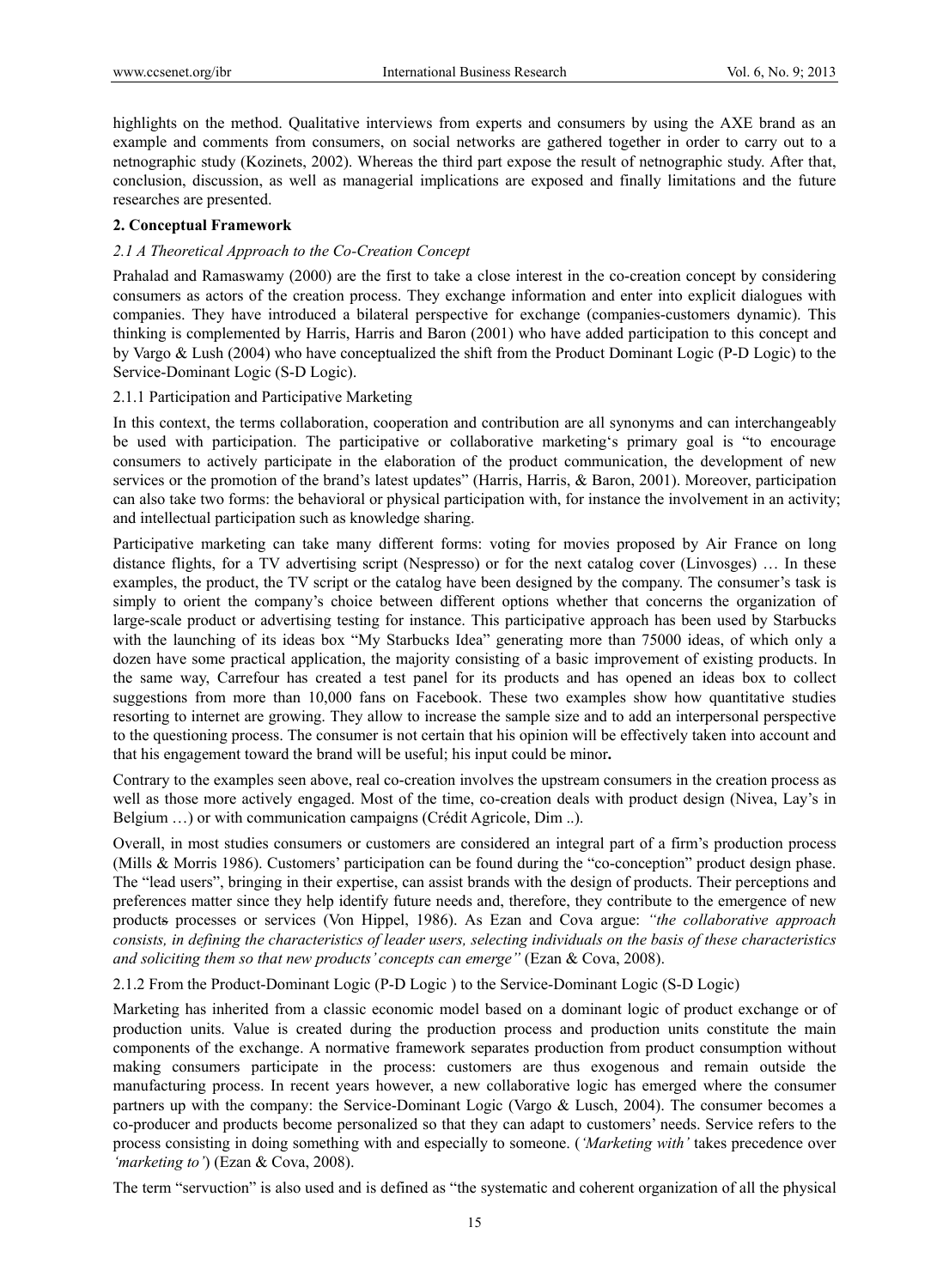highlights on the method. Qualitative interviews from experts and consumers by using the AXE brand as an example and comments from consumers, on social networks are gathered together in order to carry out to a netnographic study (Kozinets, 2002). Whereas the third part expose the result of netnographic study. After that, conclusion, discussion, as well as managerial implications are exposed and finally limitations and the future researches are presented.

## **2. Conceptual Framework**

## *2.1 A Theoretical Approach to the Co-Creation Concept*

Prahalad and Ramaswamy (2000) are the first to take a close interest in the co-creation concept by considering consumers as actors of the creation process. They exchange information and enter into explicit dialogues with companies. They have introduced a bilateral perspective for exchange (companies-customers dynamic). This thinking is complemented by Harris, Harris and Baron (2001) who have added participation to this concept and by Vargo & Lush (2004) who have conceptualized the shift from the Product Dominant Logic (P-D Logic) to the Service-Dominant Logic (S-D Logic).

#### 2.1.1 Participation and Participative Marketing

In this context, the terms collaboration, cooperation and contribution are all synonyms and can interchangeably be used with participation. The participative or collaborative marketing's primary goal is "to encourage consumers to actively participate in the elaboration of the product communication, the development of new services or the promotion of the brand's latest updates" (Harris, Harris, & Baron, 2001). Moreover, participation can also take two forms: the behavioral or physical participation with, for instance the involvement in an activity; and intellectual participation such as knowledge sharing.

Participative marketing can take many different forms: voting for movies proposed by Air France on long distance flights, for a TV advertising script (Nespresso) or for the next catalog cover (Linvosges) … In these examples, the product, the TV script or the catalog have been designed by the company. The consumer's task is simply to orient the company's choice between different options whether that concerns the organization of large-scale product or advertising testing for instance. This participative approach has been used by Starbucks with the launching of its ideas box "My Starbucks Idea" generating more than 75000 ideas, of which only a dozen have some practical application, the majority consisting of a basic improvement of existing products. In the same way, Carrefour has created a test panel for its products and has opened an ideas box to collect suggestions from more than 10,000 fans on Facebook. These two examples show how quantitative studies resorting to internet are growing. They allow to increase the sample size and to add an interpersonal perspective to the questioning process. The consumer is not certain that his opinion will be effectively taken into account and that his engagement toward the brand will be useful; his input could be minor**.**

Contrary to the examples seen above, real co-creation involves the upstream consumers in the creation process as well as those more actively engaged. Most of the time, co-creation deals with product design (Nivea, Lay's in Belgium …) or with communication campaigns (Crédit Agricole, Dim ..).

Overall, in most studies consumers or customers are considered an integral part of a firm's production process (Mills & Morris 1986). Customers' participation can be found during the "co-conception" product design phase. The "lead users", bringing in their expertise, can assist brands with the design of products. Their perceptions and preferences matter since they help identify future needs and, therefore, they contribute to the emergence of new products processes or services (Von Hippel, 1986). As Ezan and Cova argue: *"the collaborative approach consists, in defining the characteristics of leader users, selecting individuals on the basis of these characteristics and soliciting them so that new products' concepts can emerge"* (Ezan & Cova, 2008).

2.1.2 From the Product-Dominant Logic (P-D Logic ) to the Service-Dominant Logic (S-D Logic)

Marketing has inherited from a classic economic model based on a dominant logic of product exchange or of production units. Value is created during the production process and production units constitute the main components of the exchange. A normative framework separates production from product consumption without making consumers participate in the process: customers are thus exogenous and remain outside the manufacturing process. In recent years however, a new collaborative logic has emerged where the consumer partners up with the company: the Service-Dominant Logic (Vargo & Lusch, 2004). The consumer becomes a co-producer and products become personalized so that they can adapt to customers' needs. Service refers to the process consisting in doing something with and especially to someone. (*'Marketing with'* takes precedence over *'marketing to'*) (Ezan & Cova, 2008).

The term "servuction" is also used and is defined as "the systematic and coherent organization of all the physical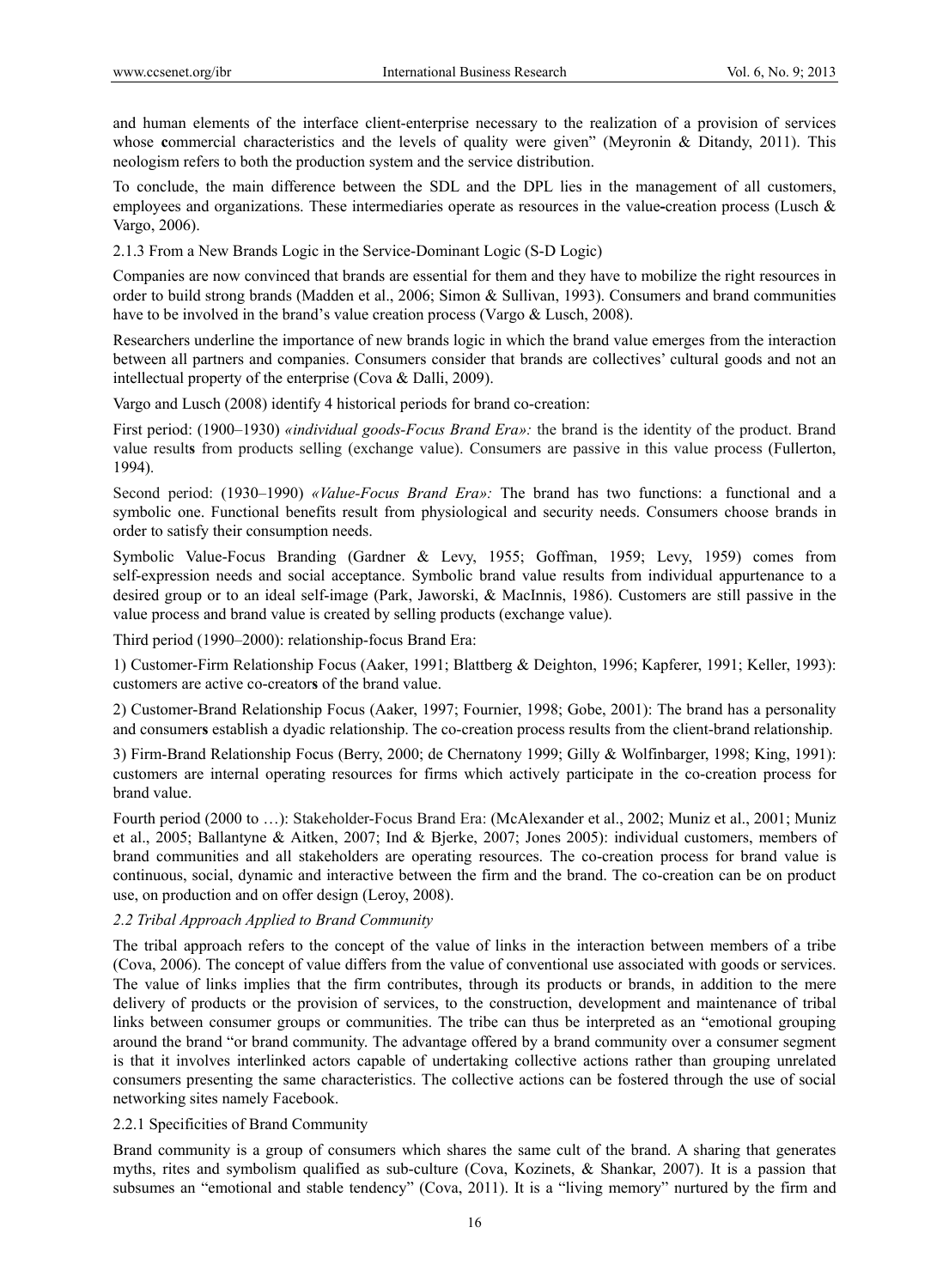and human elements of the interface client-enterprise necessary to the realization of a provision of services whose **commercial characteristics and the levels of quality were given**" (Meyronin & Ditandy, 2011). This neologism refers to both the production system and the service distribution.

To conclude, the main difference between the SDL and the DPL lies in the management of all customers, employees and organizations. These intermediaries operate as resources in the value**-**creation process (Lusch & Vargo, 2006).

2.1.3 From a New Brands Logic in the Service-Dominant Logic (S-D Logic)

Companies are now convinced that brands are essential for them and they have to mobilize the right resources in order to build strong brands (Madden et al., 2006; Simon & Sullivan, 1993). Consumers and brand communities have to be involved in the brand's value creation process (Vargo & Lusch, 2008).

Researchers underline the importance of new brands logic in which the brand value emerges from the interaction between all partners and companies. Consumers consider that brands are collectives' cultural goods and not an intellectual property of the enterprise (Cova & Dalli, 2009).

Vargo and Lusch (2008) identify 4 historical periods for brand co-creation:

First period: (1900–1930) *«individual goods-Focus Brand Era»:* the brand is the identity of the product. Brand value result**s** from products selling (exchange value). Consumers are passive in this value process (Fullerton, 1994).

Second period: (1930–1990) *«Value-Focus Brand Era»:* The brand has two functions: a functional and a symbolic one. Functional benefits result from physiological and security needs. Consumers choose brands in order to satisfy their consumption needs.

Symbolic Value-Focus Branding (Gardner & Levy, 1955; Goffman, 1959; Levy, 1959) comes from self-expression needs and social acceptance. Symbolic brand value results from individual appurtenance to a desired group or to an ideal self-image (Park, Jaworski, & MacInnis, 1986). Customers are still passive in the value process and brand value is created by selling products (exchange value).

Third period (1990–2000): relationship-focus Brand Era:

1) Customer-Firm Relationship Focus (Aaker, 1991; Blattberg & Deighton, 1996; Kapferer, 1991; Keller, 1993): customers are active co-creator**s** of the brand value.

2) Customer-Brand Relationship Focus (Aaker, 1997; Fournier, 1998; Gobe, 2001): The brand has a personality and consumer**s** establish a dyadic relationship. The co-creation process results from the client-brand relationship.

3) Firm-Brand Relationship Focus (Berry, 2000; de Chernatony 1999; Gilly & Wolfinbarger, 1998; King, 1991): customers are internal operating resources for firms which actively participate in the co-creation process for brand value.

Fourth period (2000 to …): Stakeholder-Focus Brand Era: (McAlexander et al., 2002; Muniz et al., 2001; Muniz et al., 2005; Ballantyne & Aitken, 2007; Ind & Bjerke, 2007; Jones 2005): individual customers, members of brand communities and all stakeholders are operating resources. The co-creation process for brand value is continuous, social, dynamic and interactive between the firm and the brand. The co-creation can be on product use, on production and on offer design (Leroy, 2008).

#### *2.2 Tribal Approach Applied to Brand Community*

The tribal approach refers to the concept of the value of links in the interaction between members of a tribe (Cova, 2006). The concept of value differs from the value of conventional use associated with goods or services. The value of links implies that the firm contributes, through its products or brands, in addition to the mere delivery of products or the provision of services, to the construction, development and maintenance of tribal links between consumer groups or communities. The tribe can thus be interpreted as an "emotional grouping around the brand "or brand community. The advantage offered by a brand community over a consumer segment is that it involves interlinked actors capable of undertaking collective actions rather than grouping unrelated consumers presenting the same characteristics. The collective actions can be fostered through the use of social networking sites namely Facebook.

#### 2.2.1 Specificities of Brand Community

Brand community is a group of consumers which shares the same cult of the brand. A sharing that generates myths, rites and symbolism qualified as sub-culture (Cova, Kozinets, & Shankar, 2007). It is a passion that subsumes an "emotional and stable tendency" (Cova, 2011). It is a "living memory" nurtured by the firm and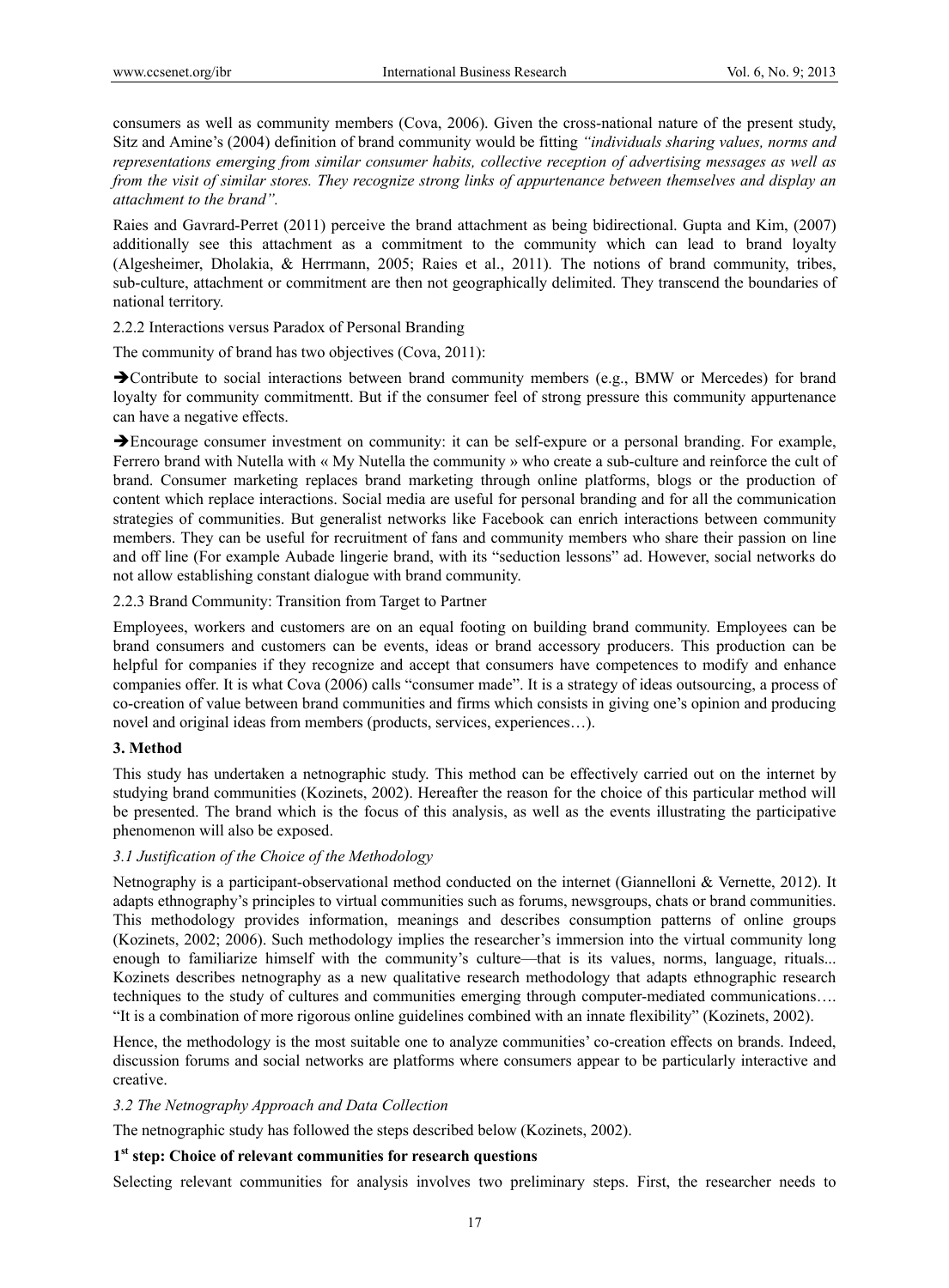consumers as well as community members (Cova, 2006). Given the cross-national nature of the present study, Sitz and Amine's (2004) definition of brand community would be fitting *"individuals sharing values, norms and representations emerging from similar consumer habits, collective reception of advertising messages as well as from the visit of similar stores. They recognize strong links of appurtenance between themselves and display an attachment to the brand".*

Raies and Gavrard-Perret (2011) perceive the brand attachment as being bidirectional. Gupta and Kim, (2007) additionally see this attachment as a commitment to the community which can lead to brand loyalty (Algesheimer, Dholakia, & Herrmann, 2005; Raies et al., 2011)*.* The notions of brand community, tribes, sub-culture, attachment or commitment are then not geographically delimited. They transcend the boundaries of national territory.

2.2.2 Interactions versus Paradox of Personal Branding

The community of brand has two objectives (Cova, 2011):

Contribute to social interactions between brand community members (e.g., BMW or Mercedes) for brand loyalty for community commitmentt. But if the consumer feel of strong pressure this community appurtenance can have a negative effects.

Encourage consumer investment on community: it can be self-expure or a personal branding. For example, Ferrero brand with Nutella with « My Nutella the community » who create a sub-culture and reinforce the cult of brand. Consumer marketing replaces brand marketing through online platforms, blogs or the production of content which replace interactions. Social media are useful for personal branding and for all the communication strategies of communities. But generalist networks like Facebook can enrich interactions between community members. They can be useful for recruitment of fans and community members who share their passion on line and off line (For example Aubade lingerie brand, with its "seduction lessons" ad. However, social networks do not allow establishing constant dialogue with brand community.

2.2.3 Brand Community: Transition from Target to Partner

Employees, workers and customers are on an equal footing on building brand community. Employees can be brand consumers and customers can be events, ideas or brand accessory producers. This production can be helpful for companies if they recognize and accept that consumers have competences to modify and enhance companies offer. It is what Cova (2006) calls "consumer made". It is a strategy of ideas outsourcing, a process of co-creation of value between brand communities and firms which consists in giving one's opinion and producing novel and original ideas from members (products, services, experiences…).

# **3. Method**

This study has undertaken a netnographic study. This method can be effectively carried out on the internet by studying brand communities (Kozinets, 2002). Hereafter the reason for the choice of this particular method will be presented. The brand which is the focus of this analysis, as well as the events illustrating the participative phenomenon will also be exposed.

# *3.1 Justification of the Choice of the Methodology*

Netnography is a participant-observational method conducted on the internet (Giannelloni & Vernette, 2012). It adapts ethnography's principles to virtual communities such as forums, newsgroups, chats or brand communities. This methodology provides information, meanings and describes consumption patterns of online groups (Kozinets, 2002; 2006). Such methodology implies the researcher's immersion into the virtual community long enough to familiarize himself with the community's culture—that is its values, norms, language, rituals... Kozinets describes netnography as a new qualitative research methodology that adapts ethnographic research techniques to the study of cultures and communities emerging through computer-mediated communications…. "It is a combination of more rigorous online guidelines combined with an innate flexibility" (Kozinets, 2002).

Hence, the methodology is the most suitable one to analyze communities' co-creation effects on brands. Indeed, discussion forums and social networks are platforms where consumers appear to be particularly interactive and creative.

#### *3.2 The Netnography Approach and Data Collection*

The netnographic study has followed the steps described below (Kozinets, 2002).

# **1st step: Choice of relevant communities for research questions**

Selecting relevant communities for analysis involves two preliminary steps. First, the researcher needs to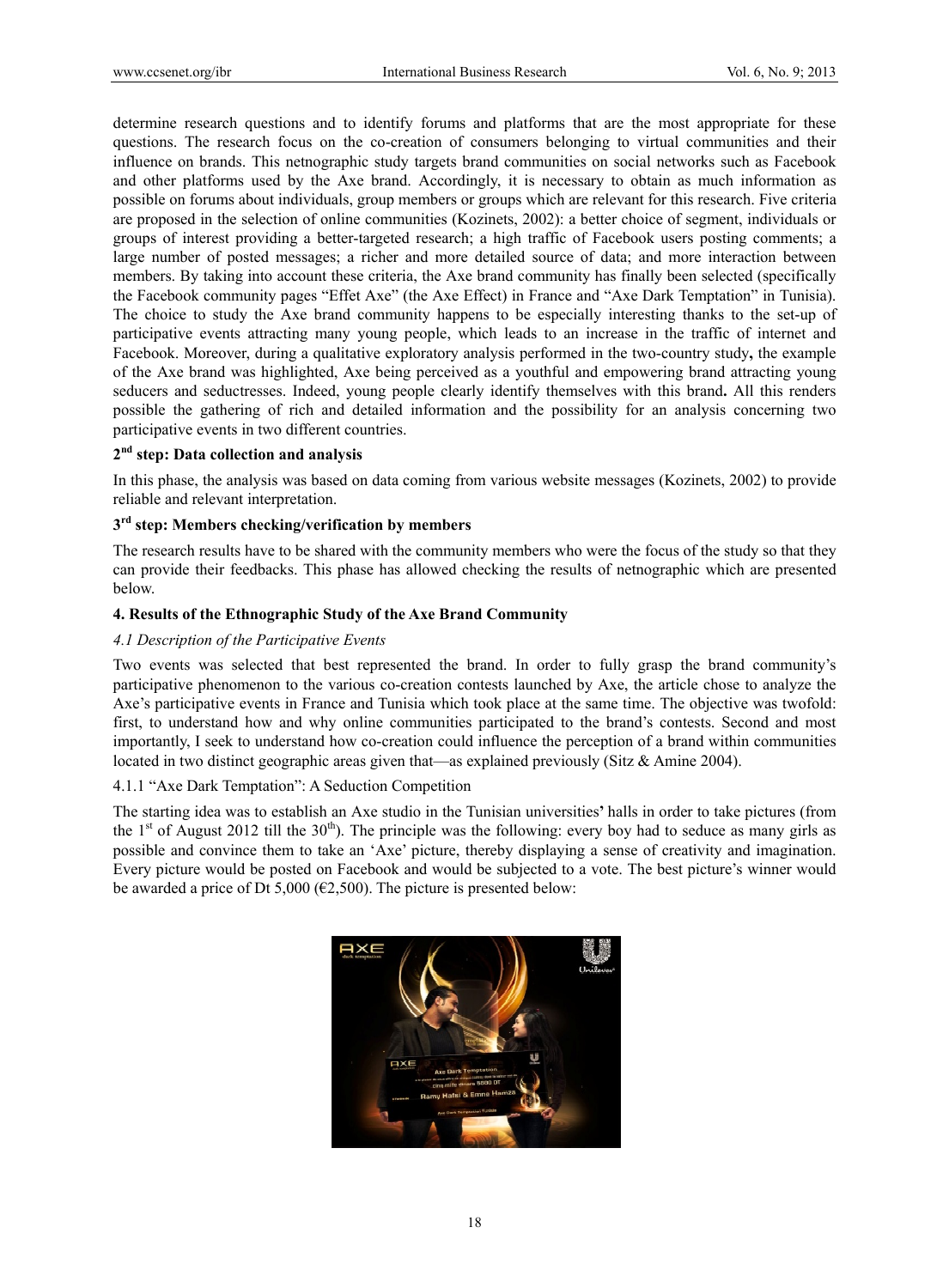determine research questions and to identify forums and platforms that are the most appropriate for these questions. The research focus on the co-creation of consumers belonging to virtual communities and their influence on brands. This netnographic study targets brand communities on social networks such as Facebook and other platforms used by the Axe brand. Accordingly, it is necessary to obtain as much information as possible on forums about individuals, group members or groups which are relevant for this research. Five criteria are proposed in the selection of online communities (Kozinets, 2002): a better choice of segment, individuals or groups of interest providing a better-targeted research; a high traffic of Facebook users posting comments; a large number of posted messages; a richer and more detailed source of data; and more interaction between members. By taking into account these criteria, the Axe brand community has finally been selected (specifically the Facebook community pages "Effet Axe" (the Axe Effect) in France and "Axe Dark Temptation" in Tunisia). The choice to study the Axe brand community happens to be especially interesting thanks to the set-up of participative events attracting many young people, which leads to an increase in the traffic of internet and Facebook. Moreover, during a qualitative exploratory analysis performed in the two-country study**,** the example of the Axe brand was highlighted, Axe being perceived as a youthful and empowering brand attracting young seducers and seductresses. Indeed, young people clearly identify themselves with this brand**.** All this renders possible the gathering of rich and detailed information and the possibility for an analysis concerning two participative events in two different countries.

# **2nd step: Data collection and analysis**

In this phase, the analysis was based on data coming from various website messages (Kozinets, 2002) to provide reliable and relevant interpretation.

## **3rd step: Members checking/verification by members**

The research results have to be shared with the community members who were the focus of the study so that they can provide their feedbacks. This phase has allowed checking the results of netnographic which are presented below.

#### **4. Results of the Ethnographic Study of the Axe Brand Community**

#### *4.1 Description of the Participative Events*

Two events was selected that best represented the brand. In order to fully grasp the brand community's participative phenomenon to the various co-creation contests launched by Axe, the article chose to analyze the Axe's participative events in France and Tunisia which took place at the same time. The objective was twofold: first, to understand how and why online communities participated to the brand's contests. Second and most importantly, I seek to understand how co-creation could influence the perception of a brand within communities located in two distinct geographic areas given that—as explained previously (Sitz & Amine 2004).

#### 4.1.1 "Axe Dark Temptation": A Seduction Competition

The starting idea was to establish an Axe studio in the Tunisian universities**'** halls in order to take pictures (from the  $1<sup>st</sup>$  of August 2012 till the 30<sup>th</sup>). The principle was the following: every boy had to seduce as many girls as possible and convince them to take an 'Axe' picture, thereby displaying a sense of creativity and imagination. Every picture would be posted on Facebook and would be subjected to a vote. The best picture's winner would be awarded a price of Dt 5,000 ( $\epsilon$ 2,500). The picture is presented below:

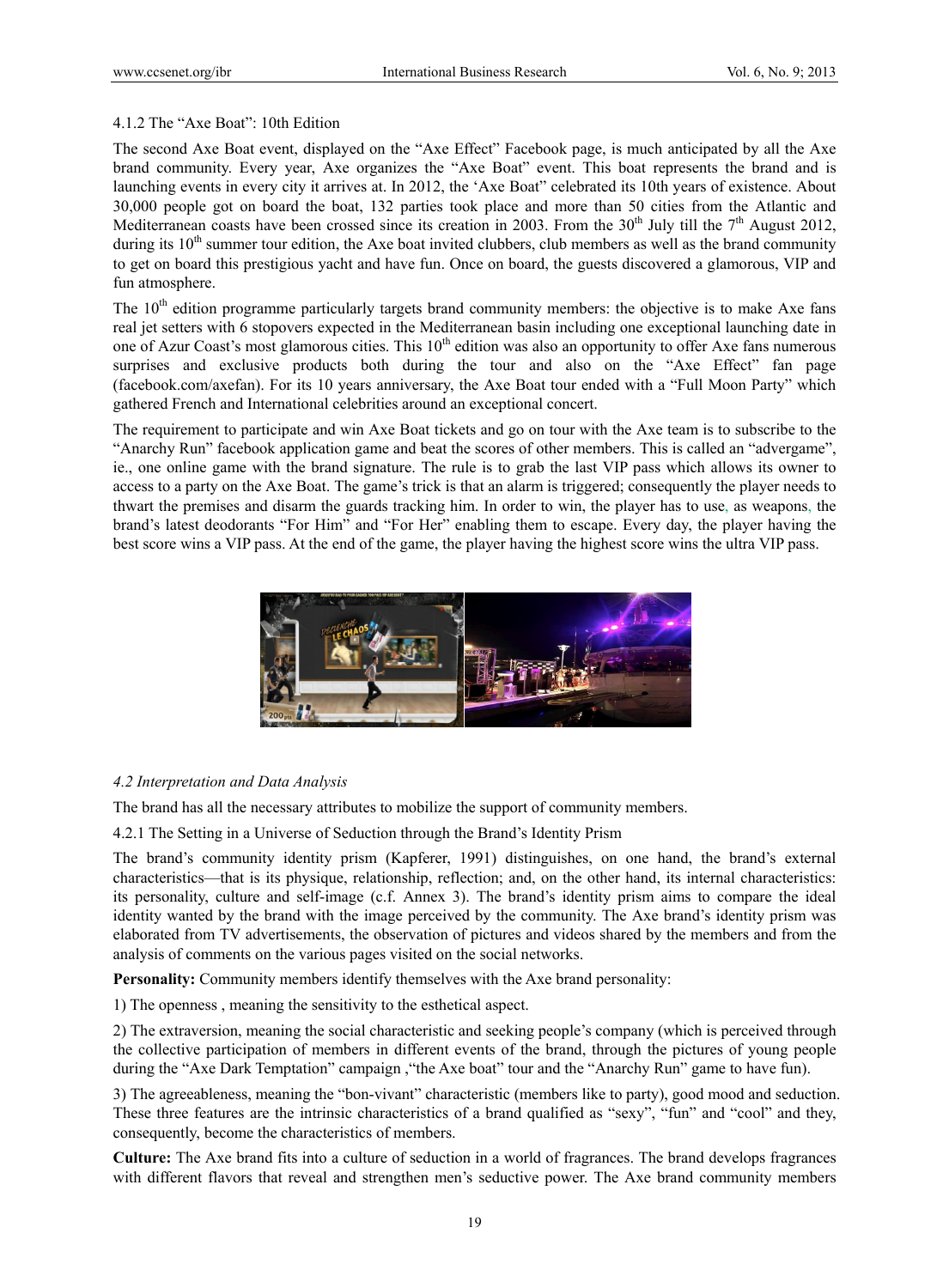## 4.1.2 The "Axe Boat": 10th Edition

The second Axe Boat event, displayed on the "Axe Effect" Facebook page, is much anticipated by all the Axe brand community. Every year, Axe organizes the "Axe Boat" event. This boat represents the brand and is launching events in every city it arrives at. In 2012, the 'Axe Boat" celebrated its 10th years of existence. About 30,000 people got on board the boat, 132 parties took place and more than 50 cities from the Atlantic and Mediterranean coasts have been crossed since its creation in 2003. From the  $30<sup>th</sup>$  July till the  $7<sup>th</sup>$  August 2012, during its 10<sup>th</sup> summer tour edition, the Axe boat invited clubbers, club members as well as the brand community to get on board this prestigious yacht and have fun. Once on board, the guests discovered a glamorous, VIP and fun atmosphere.

The 10<sup>th</sup> edition programme particularly targets brand community members: the objective is to make Axe fans real jet setters with 6 stopovers expected in the Mediterranean basin including one exceptional launching date in one of Azur Coast's most glamorous cities. This 10<sup>th</sup> edition was also an opportunity to offer Axe fans numerous surprises and exclusive products both during the tour and also on the "Axe Effect" fan page (facebook.com/axefan). For its 10 years anniversary, the Axe Boat tour ended with a "Full Moon Party" which gathered French and International celebrities around an exceptional concert.

The requirement to participate and win Axe Boat tickets and go on tour with the Axe team is to subscribe to the "Anarchy Run" facebook application game and beat the scores of other members. This is called an "advergame", ie., one online game with the brand signature. The rule is to grab the last VIP pass which allows its owner to access to a party on the Axe Boat. The game's trick is that an alarm is triggered; consequently the player needs to thwart the premises and disarm the guards tracking him. In order to win, the player has to use, as weapons, the brand's latest deodorants "For Him" and "For Her" enabling them to escape. Every day, the player having the best score wins a VIP pass. At the end of the game, the player having the highest score wins the ultra VIP pass.



#### *4.2 Interpretation and Data Analysis*

The brand has all the necessary attributes to mobilize the support of community members.

4.2.1 The Setting in a Universe of Seduction through the Brand's Identity Prism

The brand's community identity prism (Kapferer, 1991) distinguishes, on one hand, the brand's external characteristics—that is its physique, relationship, reflection; and, on the other hand, its internal characteristics: its personality, culture and self-image (c.f. Annex 3). The brand's identity prism aims to compare the ideal identity wanted by the brand with the image perceived by the community. The Axe brand's identity prism was elaborated from TV advertisements, the observation of pictures and videos shared by the members and from the analysis of comments on the various pages visited on the social networks.

**Personality:** Community members identify themselves with the Axe brand personality:

1) The openness , meaning the sensitivity to the esthetical aspect.

2) The extraversion, meaning the social characteristic and seeking people's company (which is perceived through the collective participation of members in different events of the brand, through the pictures of young people during the "Axe Dark Temptation" campaign , "the Axe boat" tour and the "Anarchy Run" game to have fun).

3) The agreeableness, meaning the "bon-vivant" characteristic (members like to party), good mood and seduction. These three features are the intrinsic characteristics of a brand qualified as "sexy", "fun" and "cool" and they, consequently, become the characteristics of members.

**Culture:** The Axe brand fits into a culture of seduction in a world of fragrances. The brand develops fragrances with different flavors that reveal and strengthen men's seductive power. The Axe brand community members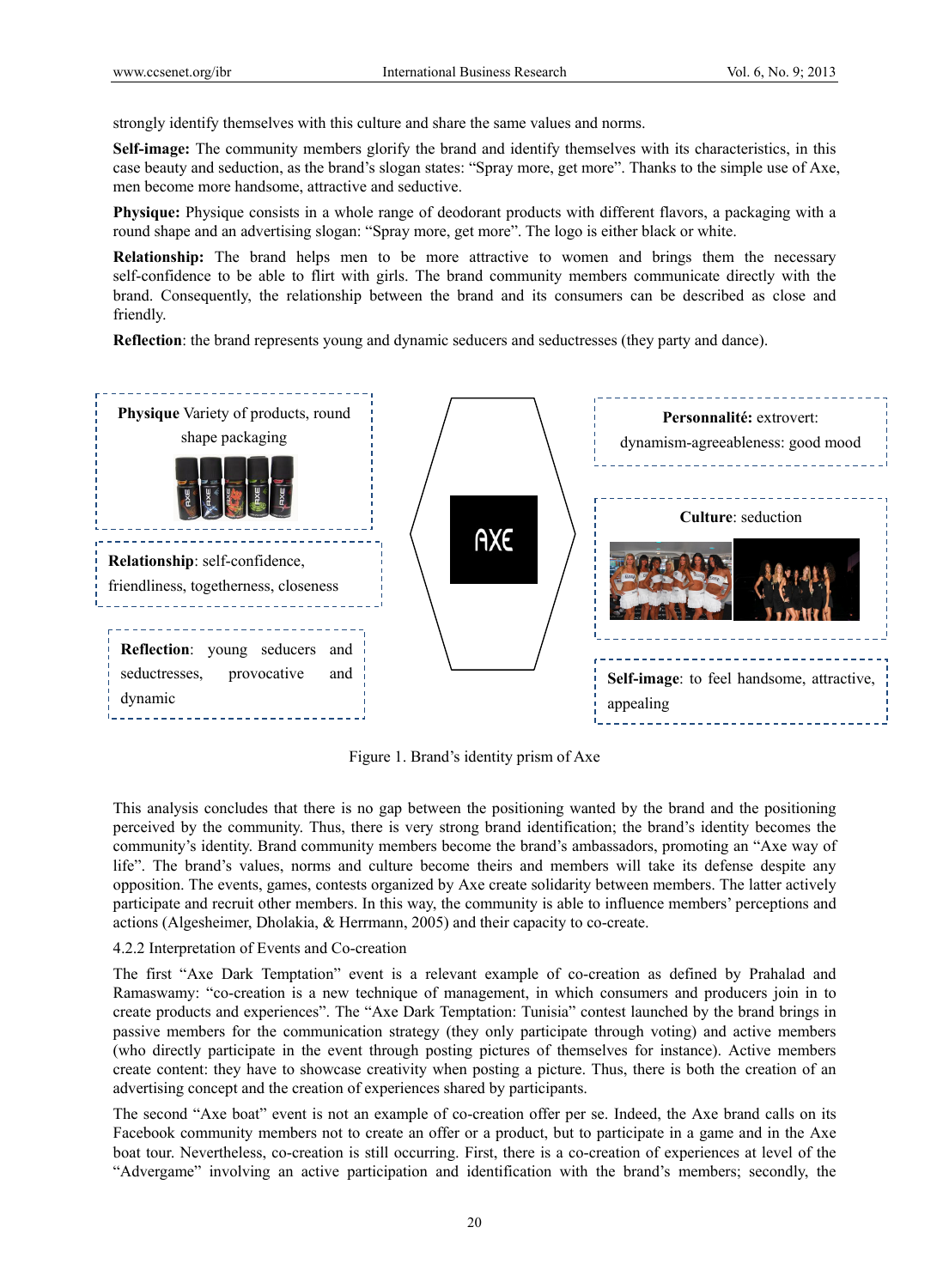strongly identify themselves with this culture and share the same values and norms.

**Self-image:** The community members glorify the brand and identify themselves with its characteristics, in this case beauty and seduction, as the brand's slogan states: "Spray more, get more". Thanks to the simple use of Axe, men become more handsome, attractive and seductive.

**Physique:** Physique consists in a whole range of deodorant products with different flavors, a packaging with a round shape and an advertising slogan: "Spray more, get more". The logo is either black or white.

**Relationship:** The brand helps men to be more attractive to women and brings them the necessary self-confidence to be able to flirt with girls. The brand community members communicate directly with the brand. Consequently, the relationship between the brand and its consumers can be described as close and friendly.

**Reflection**: the brand represents young and dynamic seducers and seductresses (they party and dance).



Figure 1. Brand's identity prism of Axe

This analysis concludes that there is no gap between the positioning wanted by the brand and the positioning perceived by the community. Thus, there is very strong brand identification; the brand's identity becomes the community's identity. Brand community members become the brand's ambassadors, promoting an "Axe way of life". The brand's values, norms and culture become theirs and members will take its defense despite any opposition. The events, games, contests organized by Axe create solidarity between members. The latter actively participate and recruit other members. In this way, the community is able to influence members' perceptions and actions (Algesheimer, Dholakia, & Herrmann, 2005) and their capacity to co-create.

# 4.2.2 Interpretation of Events and Co-creation

The first "Axe Dark Temptation" event is a relevant example of co-creation as defined by Prahalad and Ramaswamy: "co-creation is a new technique of management, in which consumers and producers join in to create products and experiences". The "Axe Dark Temptation: Tunisia" contest launched by the brand brings in passive members for the communication strategy (they only participate through voting) and active members (who directly participate in the event through posting pictures of themselves for instance). Active members create content: they have to showcase creativity when posting a picture. Thus, there is both the creation of an advertising concept and the creation of experiences shared by participants.

The second "Axe boat" event is not an example of co-creation offer per se. Indeed, the Axe brand calls on its Facebook community members not to create an offer or a product, but to participate in a game and in the Axe boat tour. Nevertheless, co-creation is still occurring. First, there is a co-creation of experiences at level of the "Advergame" involving an active participation and identification with the brand's members; secondly, the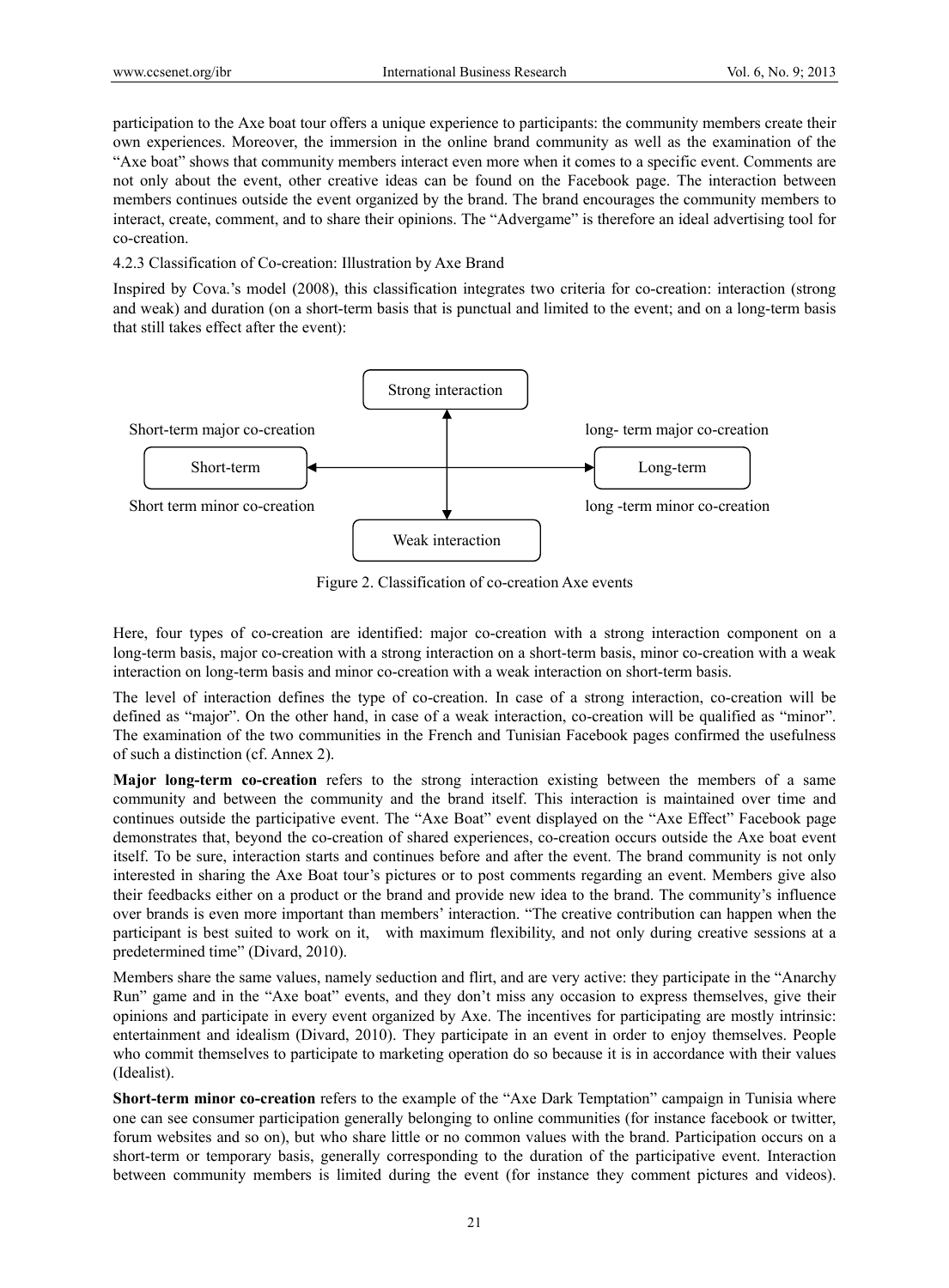participation to the Axe boat tour offers a unique experience to participants: the community members create their own experiences. Moreover, the immersion in the online brand community as well as the examination of the "Axe boat" shows that community members interact even more when it comes to a specific event. Comments are not only about the event, other creative ideas can be found on the Facebook page. The interaction between members continues outside the event organized by the brand. The brand encourages the community members to interact, create, comment, and to share their opinions. The "Advergame" is therefore an ideal advertising tool for co-creation.

#### 4.2.3 Classification of Co-creation: Illustration by Axe Brand

Inspired by Cova.'s model (2008), this classification integrates two criteria for co-creation: interaction (strong and weak) and duration (on a short-term basis that is punctual and limited to the event; and on a long-term basis that still takes effect after the event):



Figure 2. Classification of co-creation Axe events

Here, four types of co-creation are identified: major co-creation with a strong interaction component on a long-term basis, major co-creation with a strong interaction on a short-term basis, minor co-creation with a weak interaction on long-term basis and minor co-creation with a weak interaction on short-term basis.

The level of interaction defines the type of co-creation. In case of a strong interaction, co-creation will be defined as "major". On the other hand, in case of a weak interaction, co-creation will be qualified as "minor". The examination of the two communities in the French and Tunisian Facebook pages confirmed the usefulness of such a distinction (cf. Annex 2).

**Major long-term co-creation** refers to the strong interaction existing between the members of a same community and between the community and the brand itself. This interaction is maintained over time and continues outside the participative event. The "Axe Boat" event displayed on the "Axe Effect" Facebook page demonstrates that, beyond the co-creation of shared experiences, co-creation occurs outside the Axe boat event itself. To be sure, interaction starts and continues before and after the event. The brand community is not only interested in sharing the Axe Boat tour's pictures or to post comments regarding an event. Members give also their feedbacks either on a product or the brand and provide new idea to the brand. The community's influence over brands is even more important than members' interaction. "The creative contribution can happen when the participant is best suited to work on it, with maximum flexibility, and not only during creative sessions at a predetermined time" (Divard, 2010).

Members share the same values, namely seduction and flirt, and are very active: they participate in the "Anarchy Run" game and in the "Axe boat" events, and they don't miss any occasion to express themselves, give their opinions and participate in every event organized by Axe. The incentives for participating are mostly intrinsic: entertainment and idealism (Divard, 2010). They participate in an event in order to enjoy themselves. People who commit themselves to participate to marketing operation do so because it is in accordance with their values (Idealist).

**Short-term minor co-creation** refers to the example of the "Axe Dark Temptation" campaign in Tunisia where one can see consumer participation generally belonging to online communities (for instance facebook or twitter, forum websites and so on), but who share little or no common values with the brand. Participation occurs on a short-term or temporary basis, generally corresponding to the duration of the participative event. Interaction between community members is limited during the event (for instance they comment pictures and videos).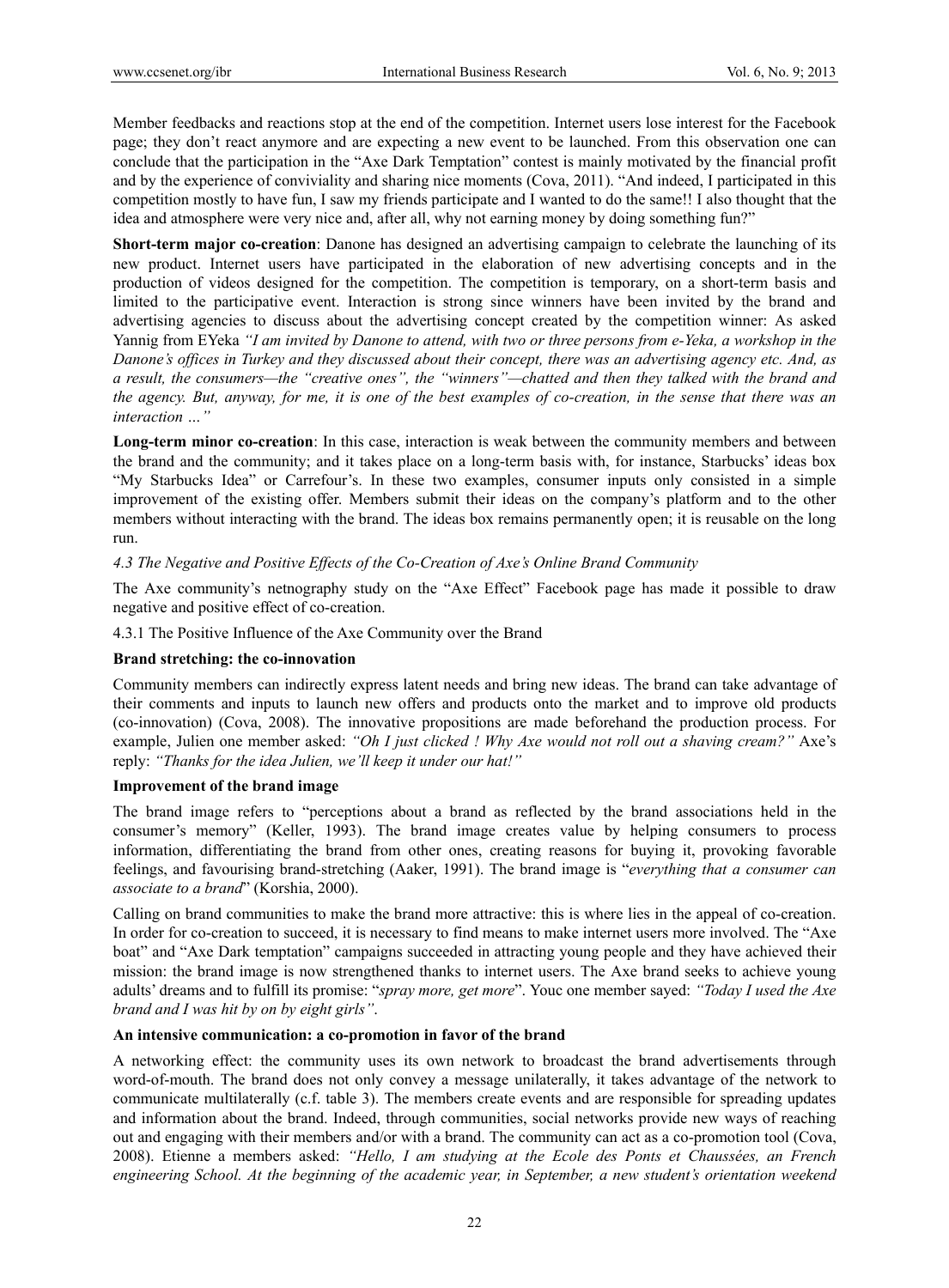Member feedbacks and reactions stop at the end of the competition. Internet users lose interest for the Facebook page; they don't react anymore and are expecting a new event to be launched. From this observation one can conclude that the participation in the "Axe Dark Temptation" contest is mainly motivated by the financial profit and by the experience of conviviality and sharing nice moments (Cova, 2011). "And indeed, I participated in this competition mostly to have fun, I saw my friends participate and I wanted to do the same!! I also thought that the idea and atmosphere were very nice and, after all, why not earning money by doing something fun?"

**Short-term major co-creation**: Danone has designed an advertising campaign to celebrate the launching of its new product. Internet users have participated in the elaboration of new advertising concepts and in the production of videos designed for the competition. The competition is temporary, on a short-term basis and limited to the participative event. Interaction is strong since winners have been invited by the brand and advertising agencies to discuss about the advertising concept created by the competition winner: As asked Yannig from EYeka *"I am invited by Danone to attend, with two or three persons from e-Yeka, a workshop in the Danone's offices in Turkey and they discussed about their concept, there was an advertising agency etc. And, as a result, the consumers—the "creative ones", the "winners"—chatted and then they talked with the brand and the agency. But, anyway, for me, it is one of the best examples of co-creation, in the sense that there was an interaction …"* 

**Long-term minor co-creation**: In this case, interaction is weak between the community members and between the brand and the community; and it takes place on a long-term basis with, for instance, Starbucks' ideas box "My Starbucks Idea" or Carrefour's. In these two examples, consumer inputs only consisted in a simple improvement of the existing offer. Members submit their ideas on the company's platform and to the other members without interacting with the brand. The ideas box remains permanently open; it is reusable on the long run.

*4.3 The Negative and Positive Effects of the Co-Creation of Axe's Online Brand Community* 

The Axe community's netnography study on the "Axe Effect" Facebook page has made it possible to draw negative and positive effect of co-creation.

4.3.1 The Positive Influence of the Axe Community over the Brand

#### **Brand stretching: the co-innovation**

Community members can indirectly express latent needs and bring new ideas. The brand can take advantage of their comments and inputs to launch new offers and products onto the market and to improve old products (co-innovation) (Cova, 2008). The innovative propositions are made beforehand the production process. For example, Julien one member asked: *"Oh I just clicked ! Why Axe would not roll out a shaving cream?"* Axe's reply: *"Thanks for the idea Julien, we'll keep it under our hat!"*

#### **Improvement of the brand image**

The brand image refers to "perceptions about a brand as reflected by the brand associations held in the consumer's memory" (Keller, 1993). The brand image creates value by helping consumers to process information, differentiating the brand from other ones, creating reasons for buying it, provoking favorable feelings, and favourising brand-stretching (Aaker, 1991). The brand image is "*everything that a consumer can associate to a brand*" (Korshia, 2000).

Calling on brand communities to make the brand more attractive: this is where lies in the appeal of co-creation. In order for co-creation to succeed, it is necessary to find means to make internet users more involved. The "Axe boat" and "Axe Dark temptation" campaigns succeeded in attracting young people and they have achieved their mission: the brand image is now strengthened thanks to internet users. The Axe brand seeks to achieve young adults' dreams and to fulfill its promise: "*spray more, get more*". Youc one member sayed: *"Today I used the Axe brand and I was hit by on by eight girls"*.

#### **An intensive communication: a co-promotion in favor of the brand**

A networking effect: the community uses its own network to broadcast the brand advertisements through word-of-mouth. The brand does not only convey a message unilaterally, it takes advantage of the network to communicate multilaterally (c.f. table 3). The members create events and are responsible for spreading updates and information about the brand. Indeed, through communities, social networks provide new ways of reaching out and engaging with their members and/or with a brand. The community can act as a co-promotion tool (Cova, 2008). Etienne a members asked: *"Hello, I am studying at the Ecole des Ponts et Chaussées, an French engineering School. At the beginning of the academic year, in September, a new student's orientation weekend*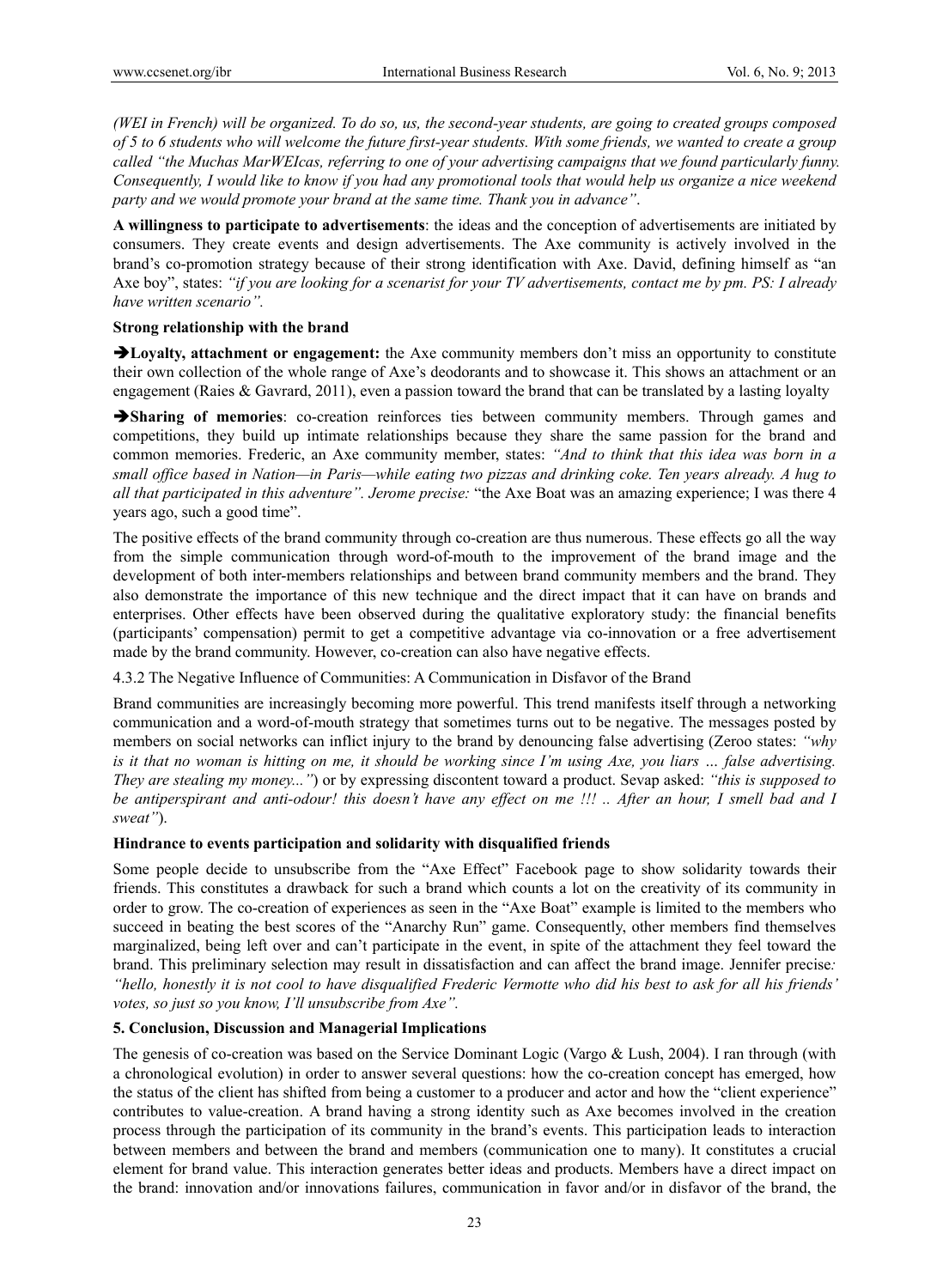*(WEI in French) will be organized. To do so, us, the second-year students, are going to created groups composed of 5 to 6 students who will welcome the future first-year students. With some friends, we wanted to create a group called "the Muchas MarWEIcas, referring to one of your advertising campaigns that we found particularly funny. Consequently, I would like to know if you had any promotional tools that would help us organize a nice weekend party and we would promote your brand at the same time. Thank you in advance"*.

**A willingness to participate to advertisements**: the ideas and the conception of advertisements are initiated by consumers. They create events and design advertisements. The Axe community is actively involved in the brand's co-promotion strategy because of their strong identification with Axe. David, defining himself as "an Axe boy", states: *"if you are looking for a scenarist for your TV advertisements, contact me by pm. PS: I already have written scenario".*

#### **Strong relationship with the brand**

**Loyalty, attachment or engagement:** the Axe community members don't miss an opportunity to constitute their own collection of the whole range of Axe's deodorants and to showcase it. This shows an attachment or an engagement (Raies & Gavrard, 2011), even a passion toward the brand that can be translated by a lasting loyalty

**Sharing of memories**: co-creation reinforces ties between community members. Through games and competitions, they build up intimate relationships because they share the same passion for the brand and common memories. Frederic, an Axe community member, states: *"And to think that this idea was born in a small office based in Nation—in Paris—while eating two pizzas and drinking coke. Ten years already. A hug to all that participated in this adventure". Jerome precise:* "the Axe Boat was an amazing experience; I was there 4 years ago, such a good time".

The positive effects of the brand community through co-creation are thus numerous. These effects go all the way from the simple communication through word-of-mouth to the improvement of the brand image and the development of both inter-members relationships and between brand community members and the brand. They also demonstrate the importance of this new technique and the direct impact that it can have on brands and enterprises. Other effects have been observed during the qualitative exploratory study: the financial benefits (participants' compensation) permit to get a competitive advantage via co-innovation or a free advertisement made by the brand community. However, co-creation can also have negative effects.

4.3.2 The Negative Influence of Communities: A Communication in Disfavor of the Brand

Brand communities are increasingly becoming more powerful. This trend manifests itself through a networking communication and a word-of-mouth strategy that sometimes turns out to be negative. The messages posted by members on social networks can inflict injury to the brand by denouncing false advertising (Zeroo states: *"why*  is it that no woman is hitting on me, it should be working since I'm using Axe, you liars ... false advertising. *They are stealing my money..."*) or by expressing discontent toward a product. Sevap asked: *"this is supposed to be antiperspirant and anti-odour! this doesn't have any effect on me !!! .. After an hour, I smell bad and I sweat"*).

# **Hindrance to events participation and solidarity with disqualified friends**

Some people decide to unsubscribe from the "Axe Effect" Facebook page to show solidarity towards their friends. This constitutes a drawback for such a brand which counts a lot on the creativity of its community in order to grow. The co-creation of experiences as seen in the "Axe Boat" example is limited to the members who succeed in beating the best scores of the "Anarchy Run" game. Consequently, other members find themselves marginalized, being left over and can't participate in the event, in spite of the attachment they feel toward the brand. This preliminary selection may result in dissatisfaction and can affect the brand image. Jennifer precise*: "hello, honestly it is not cool to have disqualified Frederic Vermotte who did his best to ask for all his friends' votes, so just so you know, I'll unsubscribe from Axe".* 

#### **5. Conclusion, Discussion and Managerial Implications**

The genesis of co-creation was based on the Service Dominant Logic (Vargo & Lush, 2004). I ran through (with a chronological evolution) in order to answer several questions: how the co-creation concept has emerged, how the status of the client has shifted from being a customer to a producer and actor and how the "client experience" contributes to value-creation. A brand having a strong identity such as Axe becomes involved in the creation process through the participation of its community in the brand's events. This participation leads to interaction between members and between the brand and members (communication one to many). It constitutes a crucial element for brand value. This interaction generates better ideas and products. Members have a direct impact on the brand: innovation and/or innovations failures, communication in favor and/or in disfavor of the brand, the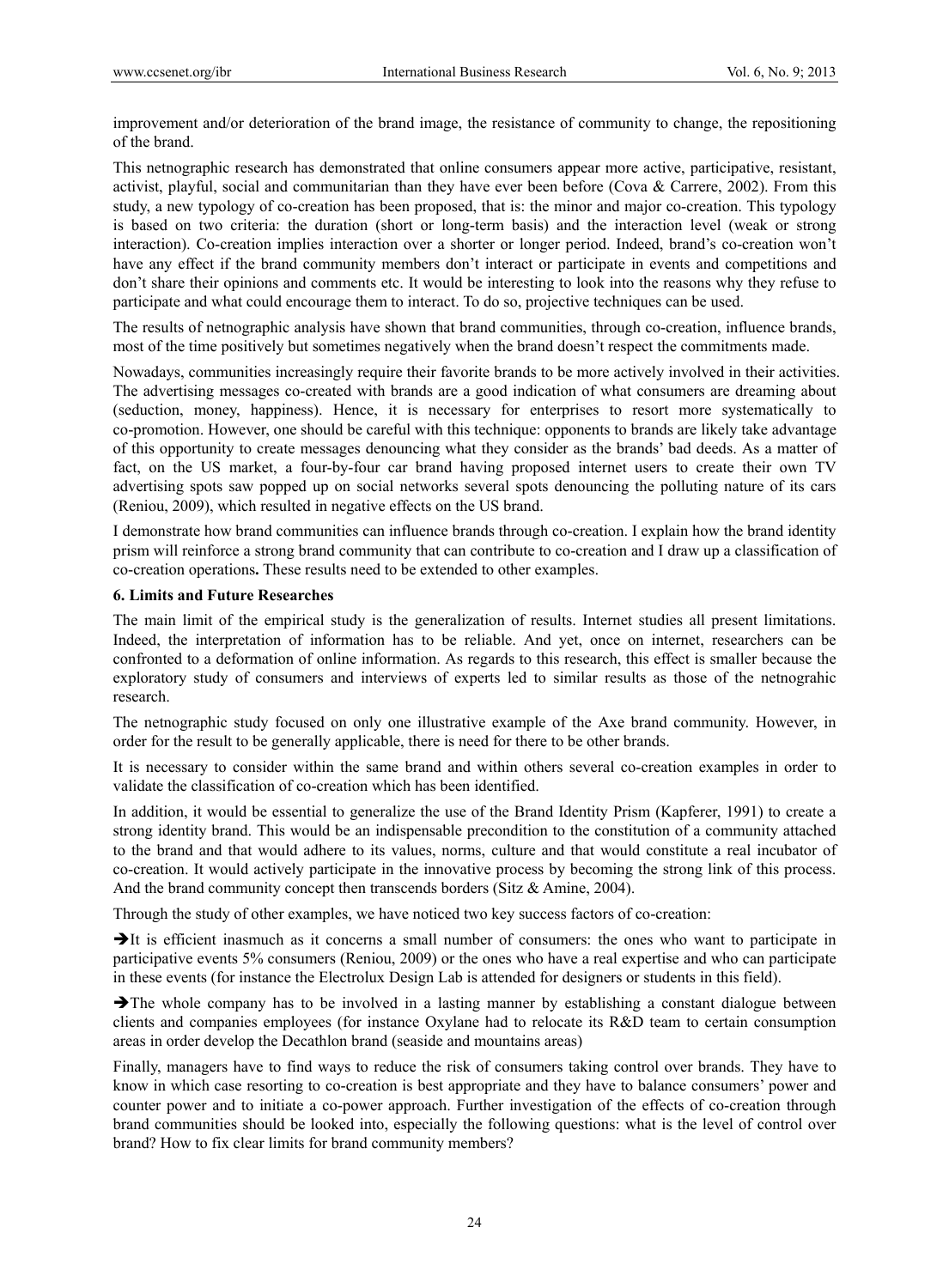improvement and/or deterioration of the brand image, the resistance of community to change, the repositioning of the brand.

This netnographic research has demonstrated that online consumers appear more active, participative, resistant, activist, playful, social and communitarian than they have ever been before (Cova & Carrere, 2002). From this study, a new typology of co-creation has been proposed, that is: the minor and major co-creation. This typology is based on two criteria: the duration (short or long-term basis) and the interaction level (weak or strong interaction). Co-creation implies interaction over a shorter or longer period. Indeed, brand's co-creation won't have any effect if the brand community members don't interact or participate in events and competitions and don't share their opinions and comments etc. It would be interesting to look into the reasons why they refuse to participate and what could encourage them to interact. To do so, projective techniques can be used.

The results of netnographic analysis have shown that brand communities, through co-creation, influence brands, most of the time positively but sometimes negatively when the brand doesn't respect the commitments made.

Nowadays, communities increasingly require their favorite brands to be more actively involved in their activities. The advertising messages co-created with brands are a good indication of what consumers are dreaming about (seduction, money, happiness). Hence, it is necessary for enterprises to resort more systematically to co-promotion. However, one should be careful with this technique: opponents to brands are likely take advantage of this opportunity to create messages denouncing what they consider as the brands' bad deeds. As a matter of fact, on the US market, a four-by-four car brand having proposed internet users to create their own TV advertising spots saw popped up on social networks several spots denouncing the polluting nature of its cars (Reniou, 2009), which resulted in negative effects on the US brand.

I demonstrate how brand communities can influence brands through co-creation. I explain how the brand identity prism will reinforce a strong brand community that can contribute to co-creation and I draw up a classification of co-creation operations**.** These results need to be extended to other examples.

#### **6. Limits and Future Researches**

The main limit of the empirical study is the generalization of results. Internet studies all present limitations. Indeed, the interpretation of information has to be reliable. And yet, once on internet, researchers can be confronted to a deformation of online information. As regards to this research, this effect is smaller because the exploratory study of consumers and interviews of experts led to similar results as those of the netnograhic research.

The netnographic study focused on only one illustrative example of the Axe brand community. However, in order for the result to be generally applicable, there is need for there to be other brands.

It is necessary to consider within the same brand and within others several co-creation examples in order to validate the classification of co-creation which has been identified.

In addition, it would be essential to generalize the use of the Brand Identity Prism (Kapferer, 1991) to create a strong identity brand. This would be an indispensable precondition to the constitution of a community attached to the brand and that would adhere to its values, norms, culture and that would constitute a real incubator of co-creation. It would actively participate in the innovative process by becoming the strong link of this process. And the brand community concept then transcends borders (Sitz & Amine, 2004).

Through the study of other examples, we have noticed two key success factors of co-creation:

 $\rightarrow$ It is efficient inasmuch as it concerns a small number of consumers: the ones who want to participate in participative events 5% consumers (Reniou, 2009) or the ones who have a real expertise and who can participate in these events (for instance the Electrolux Design Lab is attended for designers or students in this field).

The whole company has to be involved in a lasting manner by establishing a constant dialogue between clients and companies employees (for instance Oxylane had to relocate its R&D team to certain consumption areas in order develop the Decathlon brand (seaside and mountains areas)

Finally, managers have to find ways to reduce the risk of consumers taking control over brands. They have to know in which case resorting to co-creation is best appropriate and they have to balance consumers' power and counter power and to initiate a co-power approach. Further investigation of the effects of co-creation through brand communities should be looked into, especially the following questions: what is the level of control over brand? How to fix clear limits for brand community members?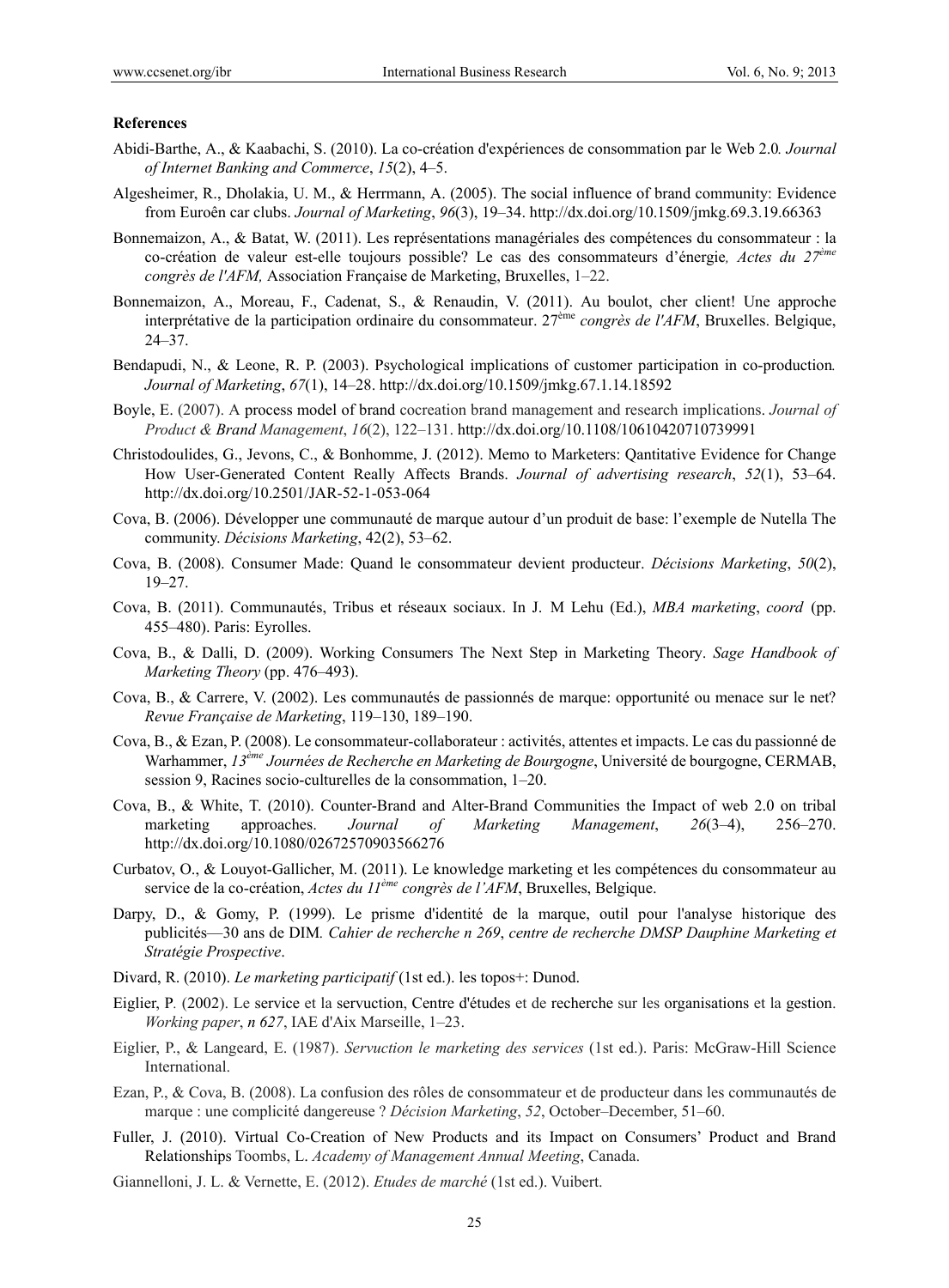#### **References**

- Abidi-Barthe, A., & Kaabachi, S. (2010). La co-création d'expériences de consommation par le Web 2.0*. Journal of Internet Banking and Commerce*, *15*(2), 4–5.
- Algesheimer, R., Dholakia, U. M., & Herrmann, A. (2005). The social influence of brand community: Evidence from Euroên car clubs. *Journal of Marketing*, *96*(3), 19–34. http://dx.doi.org/10.1509/jmkg.69.3.19.66363
- Bonnemaizon, A., & Batat, W. (2011). Les représentations managériales des compétences du consommateur : la co-création de valeur est-elle toujours possible? Le cas des consommateurs d'énergie*, Actes du 27ème congrès de l'AFM,* Association Française de Marketing, Bruxelles, 1–22.
- Bonnemaizon, A., Moreau, F., Cadenat, S., & Renaudin, V. (2011). Au boulot, cher client! Une approche interprétative de la participation ordinaire du consommateur. 27ème *congrès de l'AFM*, Bruxelles. Belgique, 24–37.
- Bendapudi, N., & Leone, R. P. (2003). Psychological implications of customer participation in co-production*. Journal of Marketing*, *67*(1), 14–28. http://dx.doi.org/10.1509/jmkg.67.1.14.18592
- Boyle, E. (2007). A process model of brand cocreation brand management and research implications. *Journal of Product & Brand Management*, *16*(2), 122–131. http://dx.doi.org/10.1108/10610420710739991
- Christodoulides, G., Jevons, C., & Bonhomme, J. (2012). Memo to Marketers: Qantitative Evidence for Change How User-Generated Content Really Affects Brands. *Journal of advertising research*, *52*(1), 53–64. http://dx.doi.org/10.2501/JAR-52-1-053-064
- Cova, B. (2006). Développer une communauté de marque autour d'un produit de base: l'exemple de Nutella The community. *Décisions Marketing*, 42(2), 53–62.
- Cova, B. (2008). Consumer Made: Quand le consommateur devient producteur. *Décisions Marketing*, *50*(2), 19–27.
- Cova, B. (2011). Communautés, Tribus et réseaux sociaux. In J. M Lehu (Ed.), *MBA marketing*, *coord* (pp. 455–480). Paris: Eyrolles.
- Cova, B., & Dalli, D. (2009). Working Consumers The Next Step in Marketing Theory. *Sage Handbook of Marketing Theory* (pp. 476–493).
- Cova, B., & Carrere, V. (2002). Les communautés de passionnés de marque: opportunité ou menace sur le net? *Revue Française de Marketing*, 119–130, 189–190.
- Cova, B., & Ezan, P. (2008). Le consommateur-collaborateur : activités, attentes et impacts. Le cas du passionné de Warhammer, *13ème Journées de Recherche en Marketing de Bourgogne*, Université de bourgogne, CERMAB, session 9, Racines socio-culturelles de la consommation, 1–20.
- Cova, B., & White, T. (2010). Counter-Brand and Alter-Brand Communities the Impact of web 2.0 on tribal marketing approaches. *Journal of Marketing Management*, *26*(3–4), 256–270. http://dx.doi.org/10.1080/02672570903566276
- Curbatov, O., & Louyot-Gallicher, M. (2011). Le knowledge marketing et les compétences du consommateur au service de la co-création, *Actes du 11ème congrès de l'AFM*, Bruxelles, Belgique.
- Darpy, D., & Gomy, P. (1999). Le prisme d'identité de la marque, outil pour l'analyse historique des publicités—30 ans de DIM*. Cahier de recherche n 269*, *centre de recherche DMSP Dauphine Marketing et Stratégie Prospective*.
- Divard, R. (2010). *Le marketing participatif* (1st ed.). les topos+: Dunod.
- Eiglier, P*.* (2002). Le service et la servuction, Centre d'études et de recherche sur les organisations et la gestion. *Working paper*, *n 627*, IAE d'Aix Marseille, 1–23.
- Eiglier, P., & Langeard, E. (1987). *Servuction le marketing des services* (1st ed.). Paris: McGraw-Hill Science International.
- Ezan, P., & Cova, B. (2008). La confusion des rôles de consommateur et de producteur dans les communautés de marque : une complicité dangereuse ? *Décision Marketing*, *52*, October–December, 51–60.
- Fuller, J. (2010). Virtual Co-Creation of New Products and its Impact on Consumers' Product and Brand Relationships Toombs, L. *Academy of Management Annual Meeting*, Canada.
- Giannelloni, J. L. & Vernette, E. (2012). *Etudes de marché* (1st ed.). Vuibert.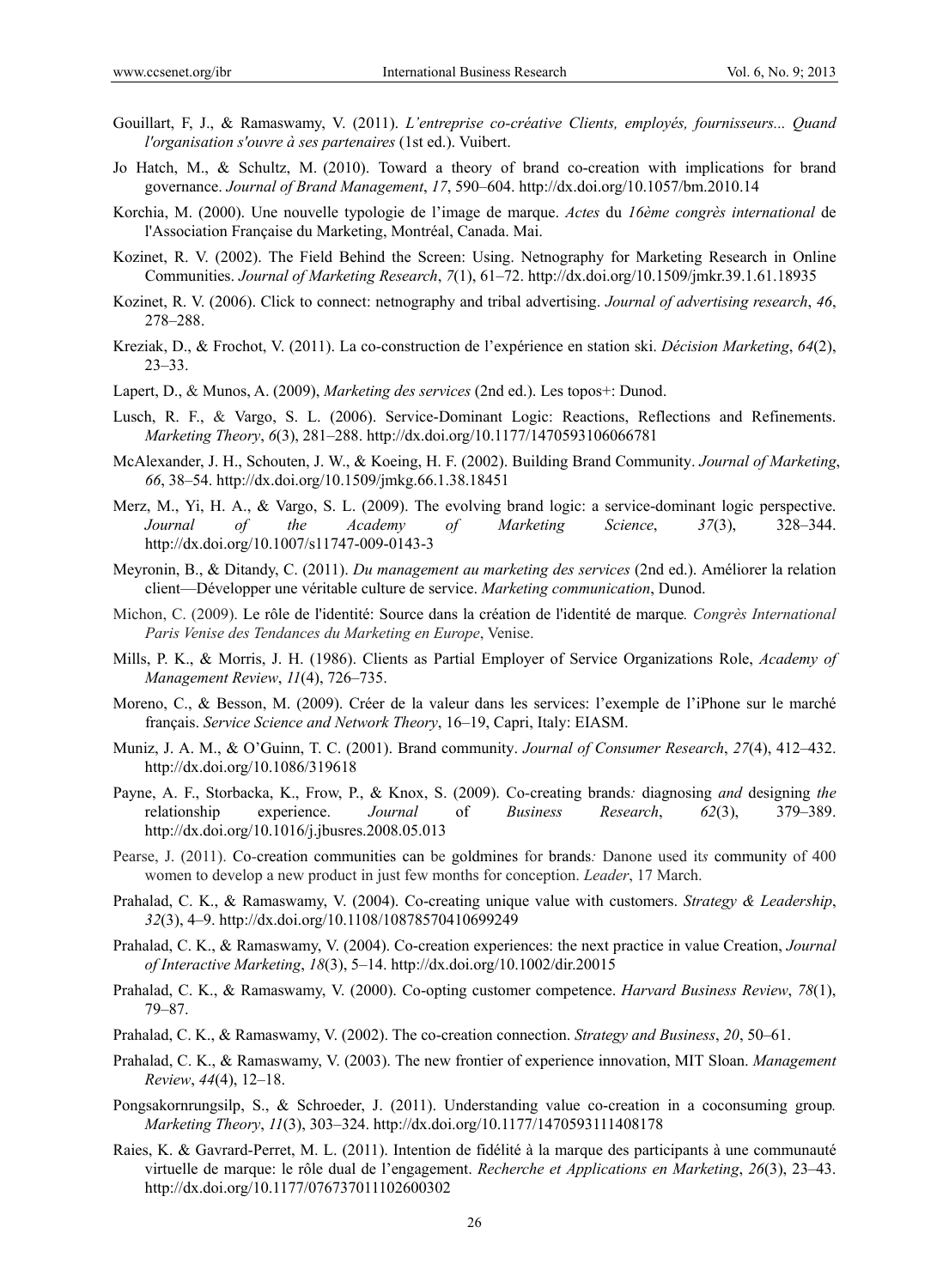- Gouillart, F, J., & Ramaswamy, V. (2011). *L'entreprise co-créative Clients, employés, fournisseurs... Quand l'organisation s'ouvre à ses partenaires* (1st ed.). Vuibert.
- Jo Hatch, M., & Schultz, M. (2010). Toward a theory of brand co-creation with implications for brand governance. *Journal of Brand Management*, *17*, 590–604. http://dx.doi.org/10.1057/bm.2010.14
- Korchia, M. (2000). Une nouvelle typologie de l'image de marque. *Actes* du *16ème congrès international* de l'Association Française du Marketing, Montréal, Canada. Mai.
- Kozinet, R. V. (2002). The Field Behind the Screen: Using. Netnography for Marketing Research in Online Communities. *Journal of Marketing Research*, *7*(1), 61–72. http://dx.doi.org/10.1509/jmkr.39.1.61.18935
- Kozinet, R. V. (2006). Click to connect: netnography and tribal advertising. *Journal of advertising research*, *46*, 278–288.
- Kreziak, D., & Frochot, V. (2011). La co-construction de l'expérience en station ski. *Décision Marketing*, *64*(2), 23–33.
- Lapert, D., & Munos, A. (2009), *Marketing des services* (2nd ed.). Les topos+: Dunod.
- Lusch, R. F., & Vargo, S. L. (2006). Service-Dominant Logic: Reactions, Reflections and Refinements. *Marketing Theory*, *6*(3), 281–288. http://dx.doi.org/10.1177/1470593106066781
- McAlexander, J. H., Schouten, J. W., & Koeing, H. F. (2002). Building Brand Community. *Journal of Marketing*, *66*, 38–54. http://dx.doi.org/10.1509/jmkg.66.1.38.18451
- Merz, M., Yi, H. A., & Vargo, S. L. (2009). The evolving brand logic: a service-dominant logic perspective. *Journal of the Academy of Marketing Science*, *37*(3), 328–344. http://dx.doi.org/10.1007/s11747-009-0143-3
- Meyronin, B., & Ditandy, C. (2011). *Du management au marketing des services* (2nd ed.). Améliorer la relation client—Développer une véritable culture de service. *Marketing communication*, Dunod.
- Michon, C. (2009). Le rôle de l'identité: Source dans la création de l'identité de marque*. Congrès International Paris Venise des Tendances du Marketing en Europe*, Venise.
- Mills, P. K., & Morris, J. H. (1986). Clients as Partial Employer of Service Organizations Role, *Academy of Management Review*, *11*(4), 726–735.
- Moreno, C., & Besson, M. (2009). Créer de la valeur dans les services: l'exemple de l'iPhone sur le marché français. *Service Science and Network Theory*, 16–19, Capri, Italy: EIASM.
- Muniz, J. A. M., & O'Guinn, T. C. (2001). Brand community. *Journal of Consumer Research*, *27*(4), 412–432. http://dx.doi.org/10.1086/319618
- Payne, A. F., Storbacka, K., Frow, P., & Knox, S. (2009). Co*-*creating brands*:* diagnosing *and* designing *the*  relationship experience. *Journal* of *Business Research*, *62*(3), 379–389. http://dx.doi.org/10.1016/j.jbusres.2008.05.013
- Pearse, J. (2011). Co*-*creation communities can be goldmines for brands*:* Danone used it*s* community of 400 women to develop a new product in just few months for conception. *Leader*, 17 March.
- Prahalad, C. K., & Ramaswamy, V. (2004). Co-creating unique value with customers. *Strategy & Leadership*, *32*(3), 4–9. http://dx.doi.org/10.1108/10878570410699249
- Prahalad, C. K., & Ramaswamy, V. (2004). Co-creation experiences: the next practice in value Creation, *Journal of Interactive Marketing*, *18*(3), 5–14. http://dx.doi.org/10.1002/dir.20015
- Prahalad, C. K., & Ramaswamy, V. (2000). Co-opting customer competence. *Harvard Business Review*, *78*(1), 79–87.
- Prahalad, C. K., & Ramaswamy, V. (2002). The co-creation connection. *Strategy and Business*, *20*, 50–61.
- Prahalad, C. K., & Ramaswamy, V. (2003). The new frontier of experience innovation, MIT Sloan. *Management Review*, *44*(4), 12–18.
- Pongsakornrungsilp, S., & Schroeder, J. (2011). Understanding value co-creation in a coconsuming group*. Marketing Theory*, *11*(3), 303–324. http://dx.doi.org/10.1177/1470593111408178
- Raies, K. & Gavrard-Perret, M. L. (2011). Intention de fidélité à la marque des participants à une communauté virtuelle de marque: le rôle dual de l'engagement. *Recherche et Applications en Marketing*, *26*(3), 23–43. http://dx.doi.org/10.1177/076737011102600302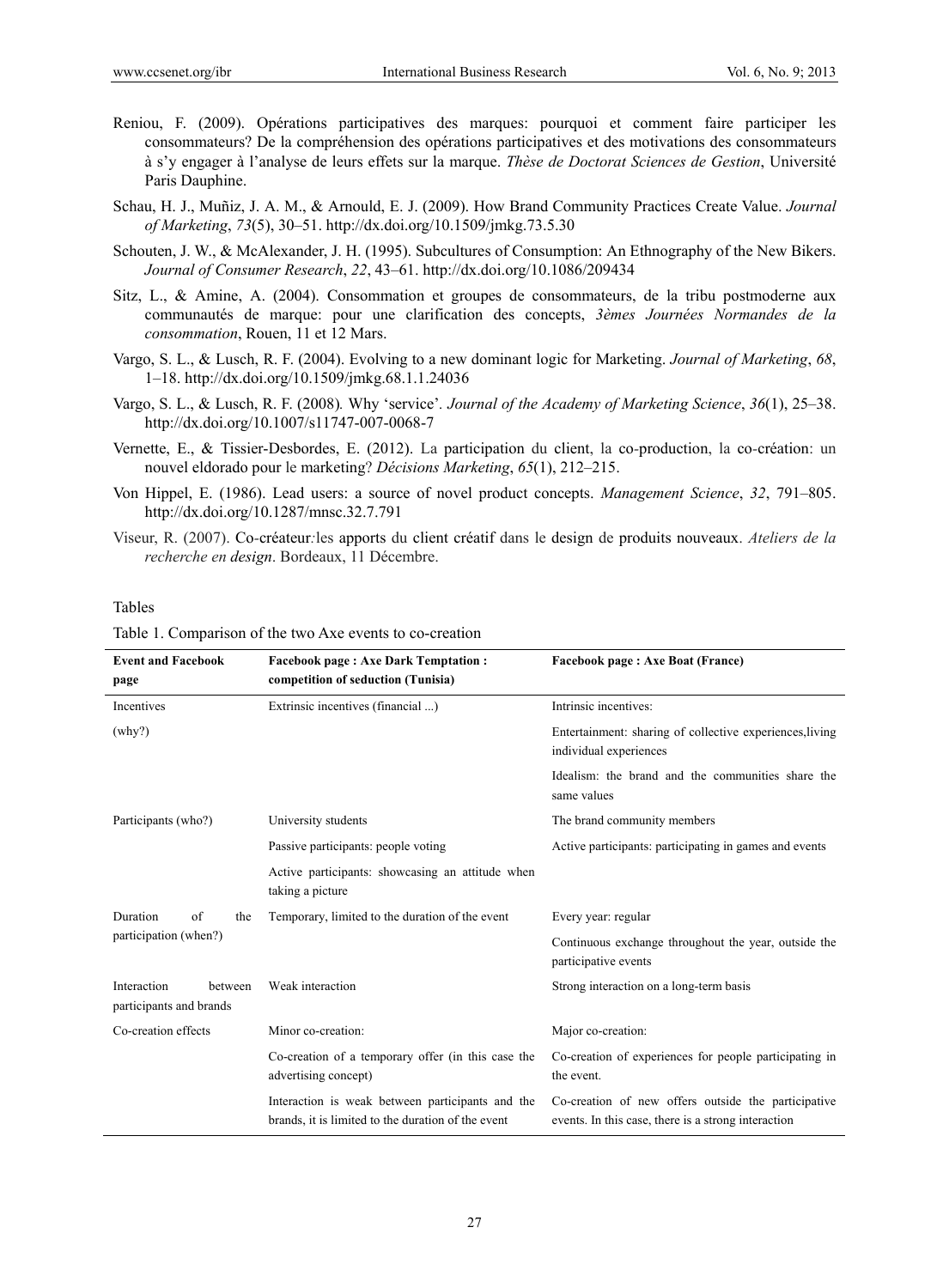- Reniou, F. (2009). Opérations participatives des marques: pourquoi et comment faire participer les consommateurs? De la compréhension des opérations participatives et des motivations des consommateurs à s'y engager à l'analyse de leurs effets sur la marque. *Thèse de Doctorat Sciences de Gestion*, Université Paris Dauphine.
- Schau, H. J., Muñiz, J. A. M., & Arnould, E. J. (2009). How Brand Community Practices Create Value. *Journal of Marketing*, *73*(5), 30–51. http://dx.doi.org/10.1509/jmkg.73.5.30
- Schouten, J. W., & McAlexander, J. H. (1995). Subcultures of Consumption: An Ethnography of the New Bikers. *Journal of Consumer Research*, *22*, 43–61. http://dx.doi.org/10.1086/209434
- Sitz, L., & Amine, A. (2004). Consommation et groupes de consommateurs, de la tribu postmoderne aux communautés de marque: pour une clarification des concepts, *3èmes Journées Normandes de la consommation*, Rouen, 11 et 12 Mars.
- Vargo, S. L., & Lusch, R. F. (2004). Evolving to a new dominant logic for Marketing. *Journal of Marketing*, *68*, 1–18. http://dx.doi.org/10.1509/jmkg.68.1.1.24036
- Vargo, S. L., & Lusch, R. F. (2008)*.* Why 'service'*. Journal of the Academy of Marketing Science*, *36*(1), 25–38. http://dx.doi.org/10.1007/s11747-007-0068-7
- Vernette, E., & Tissier-Desbordes, E. (2012). La participation du client, la co*-*production, la co*-*création: un nouvel eldorado pour le marketing? *Décisions Marketing*, *65*(1), 212–215.
- Von Hippel, E. (1986). Lead users: a source of novel product concepts. *Management Science*, *32*, 791–805. http://dx.doi.org/10.1287/mnsc.32.7.791
- Viseur, R. (2007). Co*-*créateur*:*les apports du client créatif dans le design de produits nouveaux. *Ateliers de la recherche en design*. Bordeaux, 11 Décembre.

#### Tables

Table 1. Comparison of the two Axe events to co-creation

| <b>Event and Facebook</b><br>page                 | <b>Facebook page: Axe Dark Temptation:</b><br>competition of seduction (Tunisia)                       | <b>Facebook page: Axe Boat (France)</b>                                                                    |
|---------------------------------------------------|--------------------------------------------------------------------------------------------------------|------------------------------------------------------------------------------------------------------------|
| Incentives                                        | Extrinsic incentives (financial )                                                                      | Intrinsic incentives:                                                                                      |
| $(\text{why?})$                                   |                                                                                                        | Entertainment: sharing of collective experiences, living<br>individual experiences                         |
|                                                   |                                                                                                        | Idealism: the brand and the communities share the<br>same values                                           |
| Participants (who?)                               | University students                                                                                    | The brand community members                                                                                |
|                                                   | Passive participants: people voting                                                                    | Active participants: participating in games and events                                                     |
|                                                   | Active participants: showcasing an attitude when<br>taking a picture                                   |                                                                                                            |
| Duration<br>of<br>the<br>participation (when?)    | Temporary, limited to the duration of the event                                                        | Every year: regular                                                                                        |
|                                                   |                                                                                                        | Continuous exchange throughout the year, outside the<br>participative events                               |
| Interaction<br>hetween<br>participants and brands | Weak interaction                                                                                       | Strong interaction on a long-term basis                                                                    |
| Co-creation effects                               | Minor co-creation:                                                                                     | Major co-creation:                                                                                         |
|                                                   | Co-creation of a temporary offer (in this case the<br>advertising concept)                             | Co-creation of experiences for people participating in<br>the event.                                       |
|                                                   | Interaction is weak between participants and the<br>brands, it is limited to the duration of the event | Co-creation of new offers outside the participative<br>events. In this case, there is a strong interaction |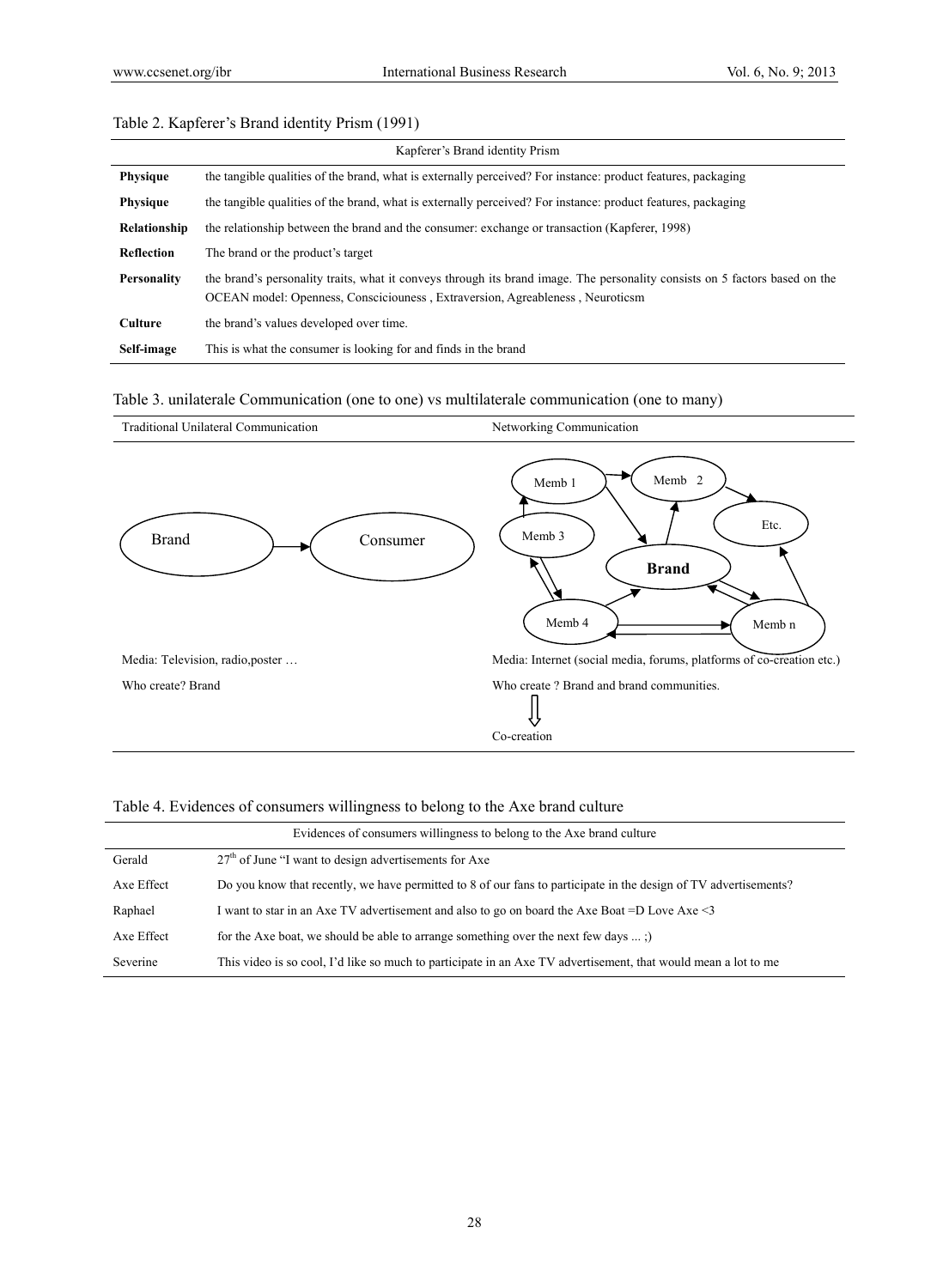## Table 2. Kapferer's Brand identity Prism (1991)

| Kapferer's Brand identity Prism |                                                                                                                                                                                                              |  |
|---------------------------------|--------------------------------------------------------------------------------------------------------------------------------------------------------------------------------------------------------------|--|
| <b>Physique</b>                 | the tangible qualities of the brand, what is externally perceived? For instance: product features, packaging                                                                                                 |  |
| <b>Physique</b>                 | the tangible qualities of the brand, what is externally perceived? For instance: product features, packaging                                                                                                 |  |
| Relationship                    | the relationship between the brand and the consumer; exchange or transaction (Kapferer, 1998)                                                                                                                |  |
| <b>Reflection</b>               | The brand or the product's target                                                                                                                                                                            |  |
| Personality                     | the brand's personality traits, what it conveys through its brand image. The personality consists on 5 factors based on the<br>OCEAN model: Openness, Conscisiouness, Extraversion, Agreableness, Neuroticsm |  |
| <b>Culture</b>                  | the brand's values developed over time.                                                                                                                                                                      |  |
| Self-image                      | This is what the consumer is looking for and finds in the brand                                                                                                                                              |  |

## Table 3. unilaterale Communication (one to one) vs multilaterale communication (one to many)



#### Table 4. Evidences of consumers willingness to belong to the Axe brand culture

|            | Evidences of consumers willingness to belong to the Axe brand culture                                            |
|------------|------------------------------------------------------------------------------------------------------------------|
| Gerald     | $27th$ of June "I want to design advertisements for Axe                                                          |
| Axe Effect | Do you know that recently, we have permitted to 8 of our fans to participate in the design of TV advertisements? |
| Raphael    | I want to star in an Axe TV advertisement and also to go on board the Axe Boat = D Love Axe $\leq$ 3             |
| Axe Effect | for the Axe boat, we should be able to arrange something over the next few days ;                                |
| Severine   | This video is so cool, I'd like so much to participate in an Axe TV advertisement, that would mean a lot to me   |